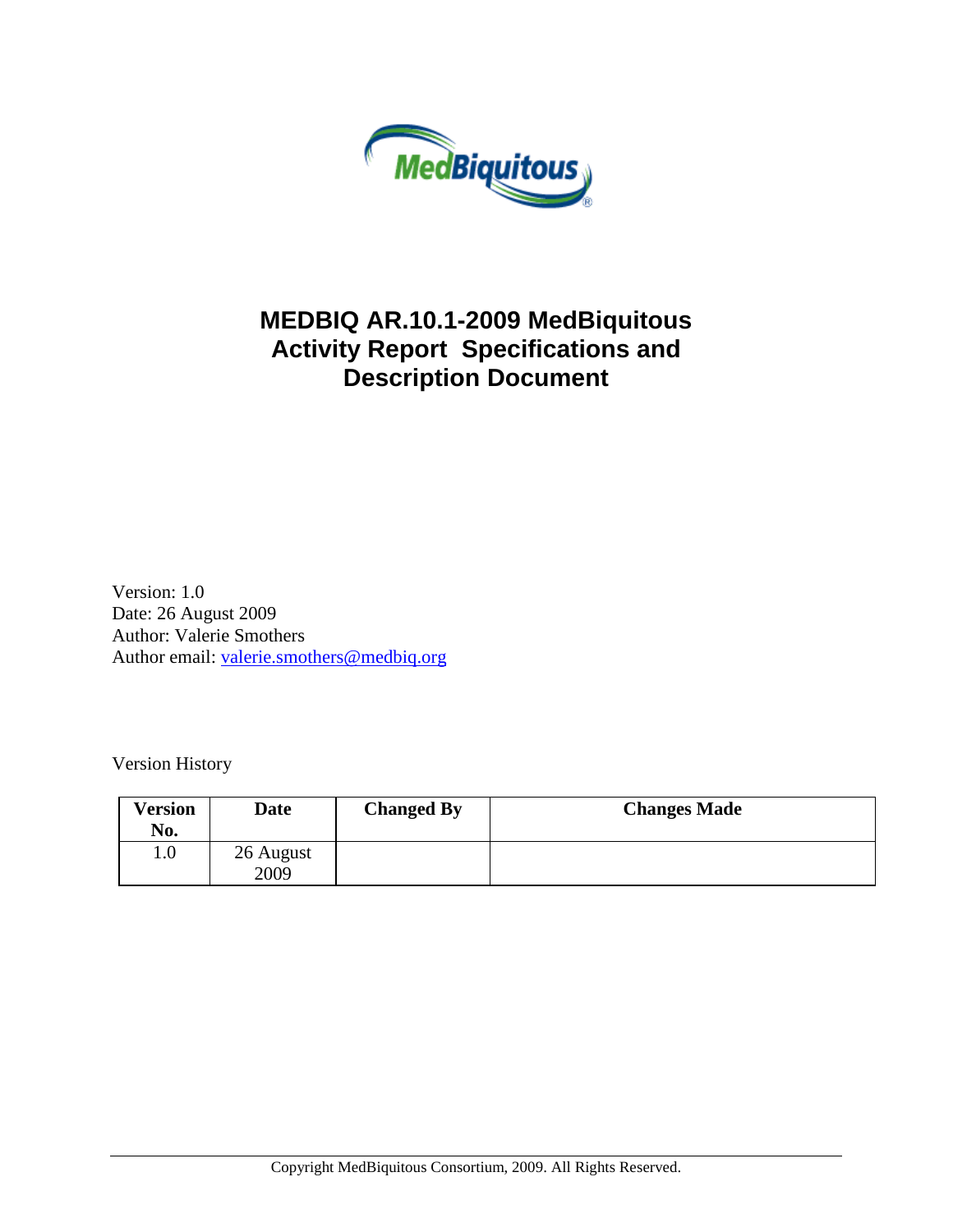

## **MEDBIQ AR.10.1-2009 MedBiquitous Activity Report Specifications and Description Document**

Version: 1.0 Date: 26 August 2009 Author: Valerie Smothers Author email: [valerie.smothers@medbiq.org](mailto:valerie.smothers@medbiq.org)

Version History

| <b>Version</b><br>No. | Date              | <b>Changed By</b> | <b>Changes Made</b> |
|-----------------------|-------------------|-------------------|---------------------|
| $1.0\,$               | 26 August<br>2009 |                   |                     |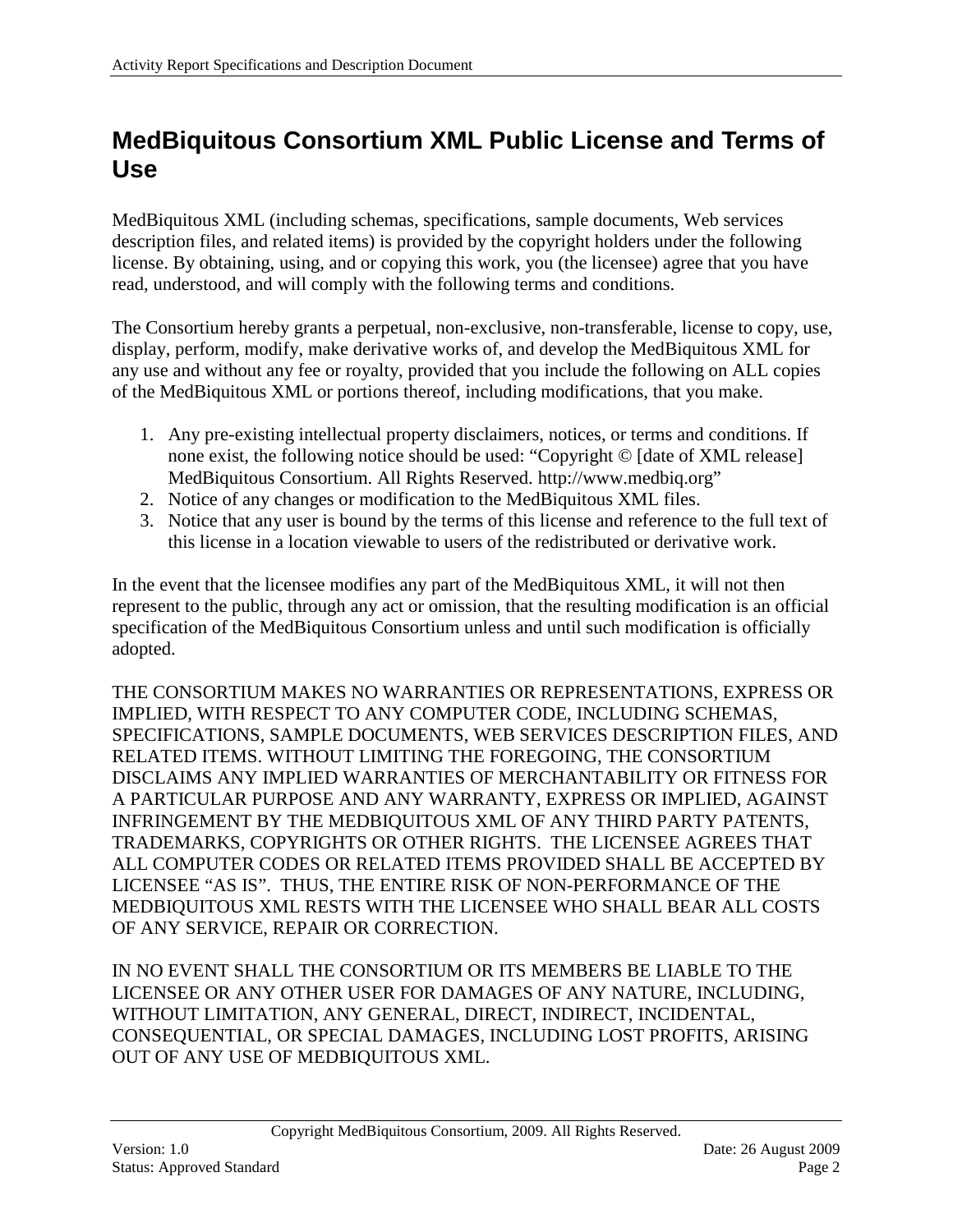## <span id="page-1-0"></span>**MedBiquitous Consortium XML Public License and Terms of Use**

MedBiquitous XML (including schemas, specifications, sample documents, Web services description files, and related items) is provided by the copyright holders under the following license. By obtaining, using, and or copying this work, you (the licensee) agree that you have read, understood, and will comply with the following terms and conditions.

The Consortium hereby grants a perpetual, non-exclusive, non-transferable, license to copy, use, display, perform, modify, make derivative works of, and develop the MedBiquitous XML for any use and without any fee or royalty, provided that you include the following on ALL copies of the MedBiquitous XML or portions thereof, including modifications, that you make.

- 1. Any pre-existing intellectual property disclaimers, notices, or terms and conditions. If none exist, the following notice should be used: "Copyright © [date of XML release] MedBiquitous Consortium. All Rights Reserved. http://www.medbiq.org"
- 2. Notice of any changes or modification to the MedBiquitous XML files.
- 3. Notice that any user is bound by the terms of this license and reference to the full text of this license in a location viewable to users of the redistributed or derivative work.

In the event that the licensee modifies any part of the MedBiquitous XML, it will not then represent to the public, through any act or omission, that the resulting modification is an official specification of the MedBiquitous Consortium unless and until such modification is officially adopted.

THE CONSORTIUM MAKES NO WARRANTIES OR REPRESENTATIONS, EXPRESS OR IMPLIED, WITH RESPECT TO ANY COMPUTER CODE, INCLUDING SCHEMAS, SPECIFICATIONS, SAMPLE DOCUMENTS, WEB SERVICES DESCRIPTION FILES, AND RELATED ITEMS. WITHOUT LIMITING THE FOREGOING, THE CONSORTIUM DISCLAIMS ANY IMPLIED WARRANTIES OF MERCHANTABILITY OR FITNESS FOR A PARTICULAR PURPOSE AND ANY WARRANTY, EXPRESS OR IMPLIED, AGAINST INFRINGEMENT BY THE MEDBIQUITOUS XML OF ANY THIRD PARTY PATENTS, TRADEMARKS, COPYRIGHTS OR OTHER RIGHTS. THE LICENSEE AGREES THAT ALL COMPUTER CODES OR RELATED ITEMS PROVIDED SHALL BE ACCEPTED BY LICENSEE "AS IS". THUS, THE ENTIRE RISK OF NON-PERFORMANCE OF THE MEDBIQUITOUS XML RESTS WITH THE LICENSEE WHO SHALL BEAR ALL COSTS OF ANY SERVICE, REPAIR OR CORRECTION.

IN NO EVENT SHALL THE CONSORTIUM OR ITS MEMBERS BE LIABLE TO THE LICENSEE OR ANY OTHER USER FOR DAMAGES OF ANY NATURE, INCLUDING, WITHOUT LIMITATION, ANY GENERAL, DIRECT, INDIRECT, INCIDENTAL, CONSEQUENTIAL, OR SPECIAL DAMAGES, INCLUDING LOST PROFITS, ARISING OUT OF ANY USE OF MEDBIQUITOUS XML.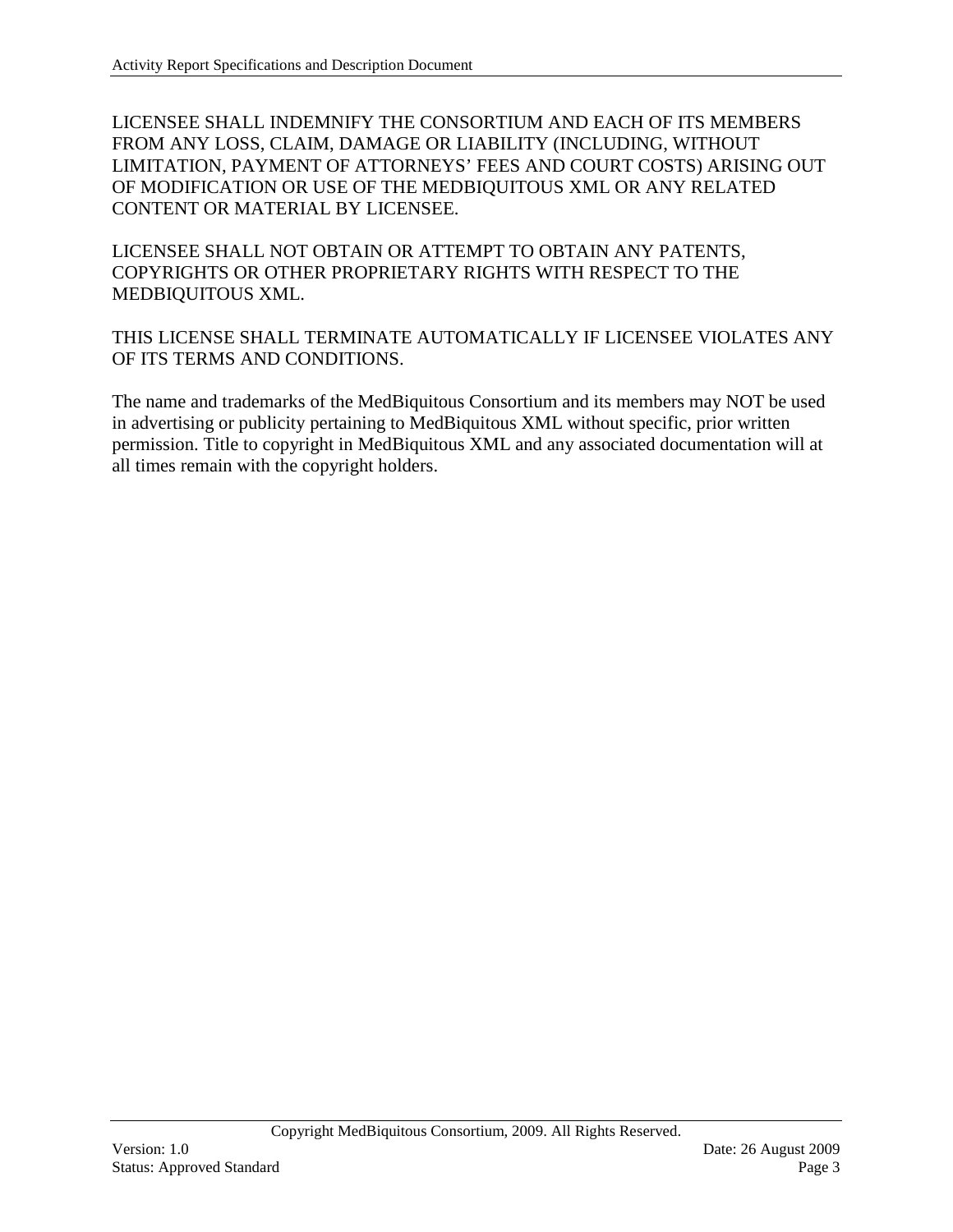LICENSEE SHALL INDEMNIFY THE CONSORTIUM AND EACH OF ITS MEMBERS FROM ANY LOSS, CLAIM, DAMAGE OR LIABILITY (INCLUDING, WITHOUT LIMITATION, PAYMENT OF ATTORNEYS' FEES AND COURT COSTS) ARISING OUT OF MODIFICATION OR USE OF THE MEDBIQUITOUS XML OR ANY RELATED CONTENT OR MATERIAL BY LICENSEE.

LICENSEE SHALL NOT OBTAIN OR ATTEMPT TO OBTAIN ANY PATENTS, COPYRIGHTS OR OTHER PROPRIETARY RIGHTS WITH RESPECT TO THE MEDBIQUITOUS XML.

THIS LICENSE SHALL TERMINATE AUTOMATICALLY IF LICENSEE VIOLATES ANY OF ITS TERMS AND CONDITIONS.

The name and trademarks of the MedBiquitous Consortium and its members may NOT be used in advertising or publicity pertaining to MedBiquitous XML without specific, prior written permission. Title to copyright in MedBiquitous XML and any associated documentation will at all times remain with the copyright holders.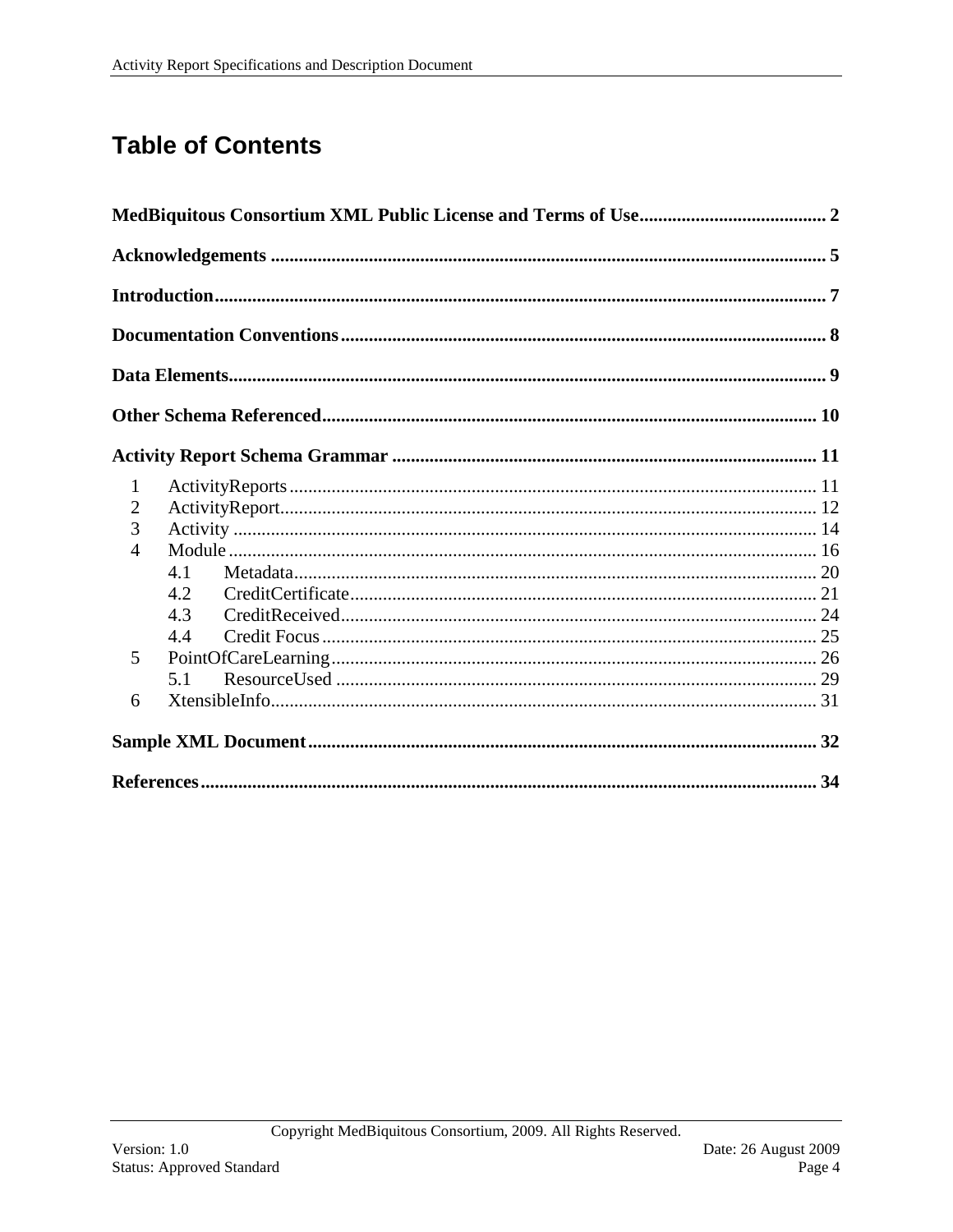# **Table of Contents**

| $\mathbf{1}$   |     |  |
|----------------|-----|--|
| $\overline{2}$ |     |  |
| 3              |     |  |
| $\overline{4}$ |     |  |
|                | 4.1 |  |
|                | 4.2 |  |
|                | 4.3 |  |
|                | 4.4 |  |
| 5              |     |  |
|                | 5.1 |  |
| 6              |     |  |
|                |     |  |
|                |     |  |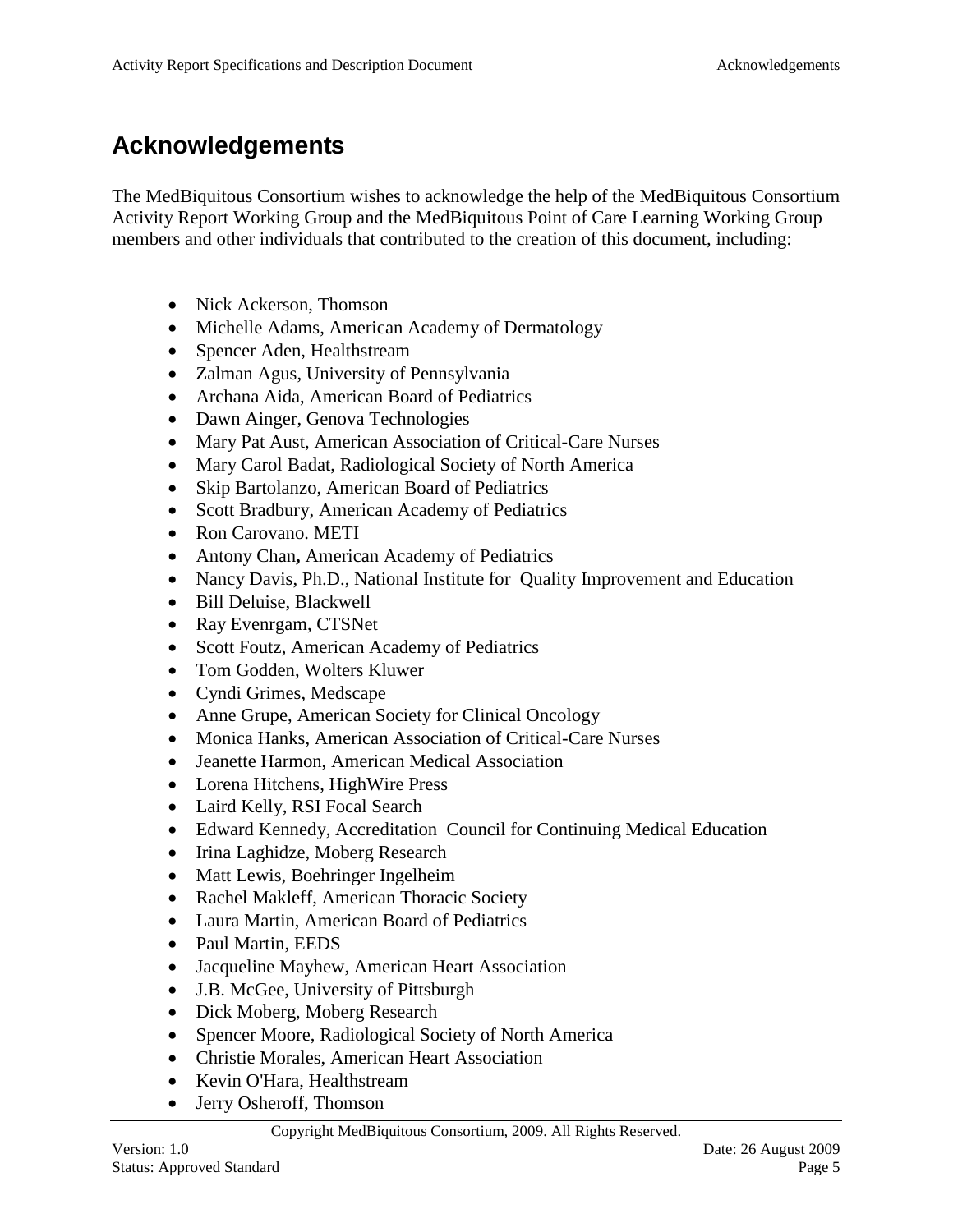## <span id="page-4-0"></span>**Acknowledgements**

The MedBiquitous Consortium wishes to acknowledge the help of the MedBiquitous Consortium Activity Report Working Group and the MedBiquitous Point of Care Learning Working Group members and other individuals that contributed to the creation of this document, including:

- Nick Ackerson, Thomson
- Michelle Adams, American Academy of Dermatology
- Spencer Aden, Healthstream
- Zalman Agus, University of Pennsylvania
- Archana Aida, American Board of Pediatrics
- Dawn Ainger, Genova Technologies
- Mary Pat Aust, American Association of Critical-Care Nurses
- Mary Carol Badat, Radiological Society of North America
- Skip Bartolanzo, American Board of Pediatrics
- Scott Bradbury, American Academy of Pediatrics
- Ron Carovano. METI
- Antony Chan**,** American Academy of Pediatrics
- Nancy Davis, Ph.D., National Institute for Quality Improvement and Education
- Bill Deluise, Blackwell
- Ray Evenrgam, CTSNet
- Scott Foutz, American Academy of Pediatrics
- Tom Godden, Wolters Kluwer
- Cyndi Grimes, Medscape
- Anne Grupe, American Society for Clinical Oncology
- Monica Hanks, American Association of Critical-Care Nurses
- Jeanette Harmon, American Medical Association
- Lorena Hitchens, HighWire Press
- Laird Kelly, RSI Focal Search
- Edward Kennedy, Accreditation Council for Continuing Medical Education
- Irina Laghidze, Moberg Research
- Matt Lewis, Boehringer Ingelheim
- Rachel Makleff, American Thoracic Society
- Laura Martin, American Board of Pediatrics
- Paul Martin, EEDS
- Jacqueline Mayhew, American Heart Association
- J.B. McGee, University of Pittsburgh
- Dick Moberg, Moberg Research
- Spencer Moore, Radiological Society of North America
- Christie Morales, American Heart Association
- Kevin O'Hara, Healthstream
- Jerry Osheroff, Thomson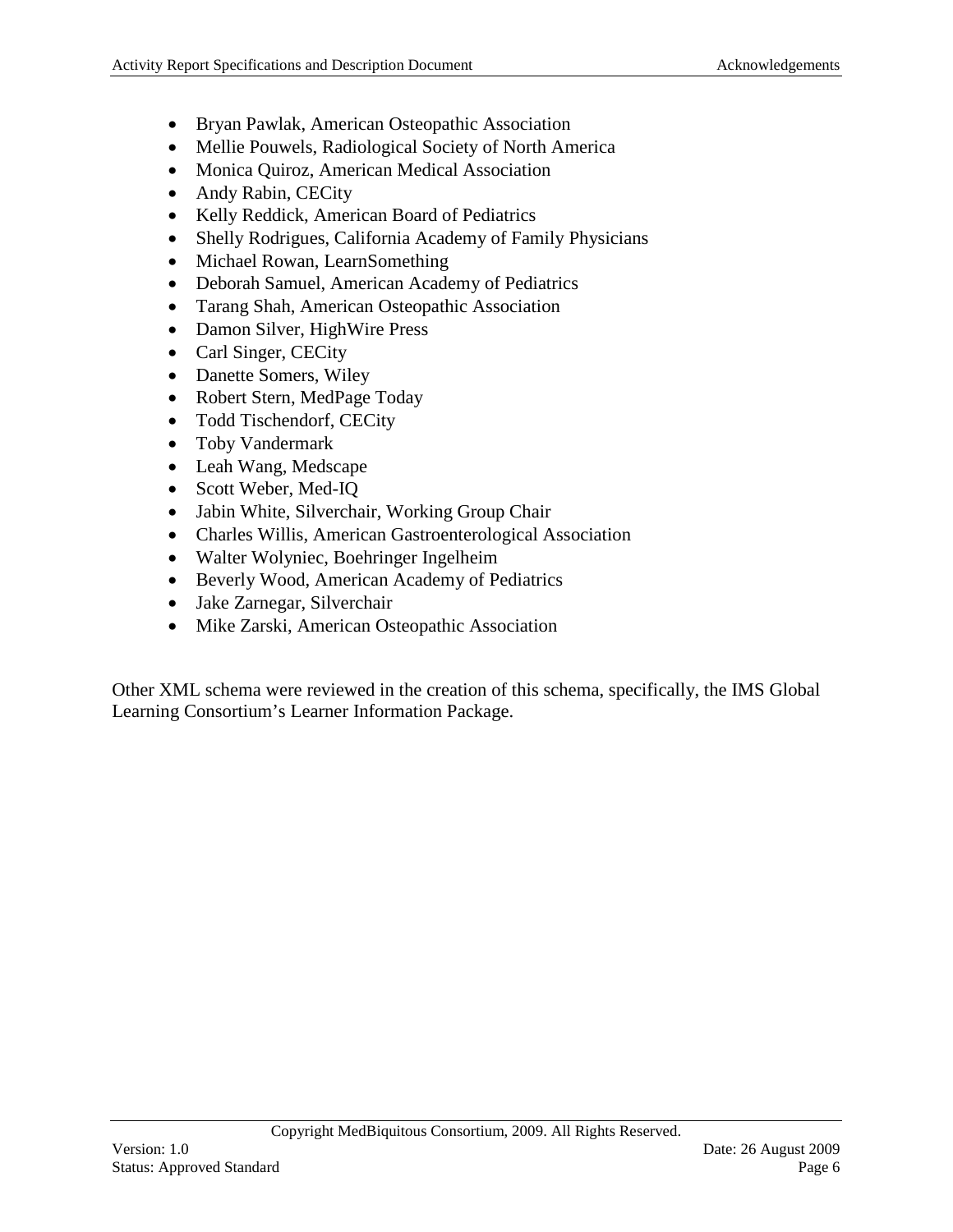- Bryan Pawlak, American Osteopathic Association
- Mellie Pouwels, Radiological Society of North America
- Monica Quiroz, American Medical Association
- Andy Rabin, CECity
- Kelly Reddick, American Board of Pediatrics
- Shelly Rodrigues, California Academy of Family Physicians
- Michael Rowan, LearnSomething
- Deborah Samuel, American Academy of Pediatrics
- Tarang Shah, American Osteopathic Association
- Damon Silver, HighWire Press
- Carl Singer, CECity
- Danette Somers, Wiley
- Robert Stern, MedPage Today
- Todd Tischendorf, CECity
- Toby Vandermark
- Leah Wang, Medscape
- Scott Weber, Med-IQ
- Jabin White, Silverchair, Working Group Chair
- Charles Willis, American Gastroenterological Association
- Walter Wolyniec, Boehringer Ingelheim
- Beverly Wood, American Academy of Pediatrics
- Jake Zarnegar, Silverchair
- Mike Zarski, American Osteopathic Association

Other XML schema were reviewed in the creation of this schema, specifically, the IMS Global Learning Consortium's Learner Information Package.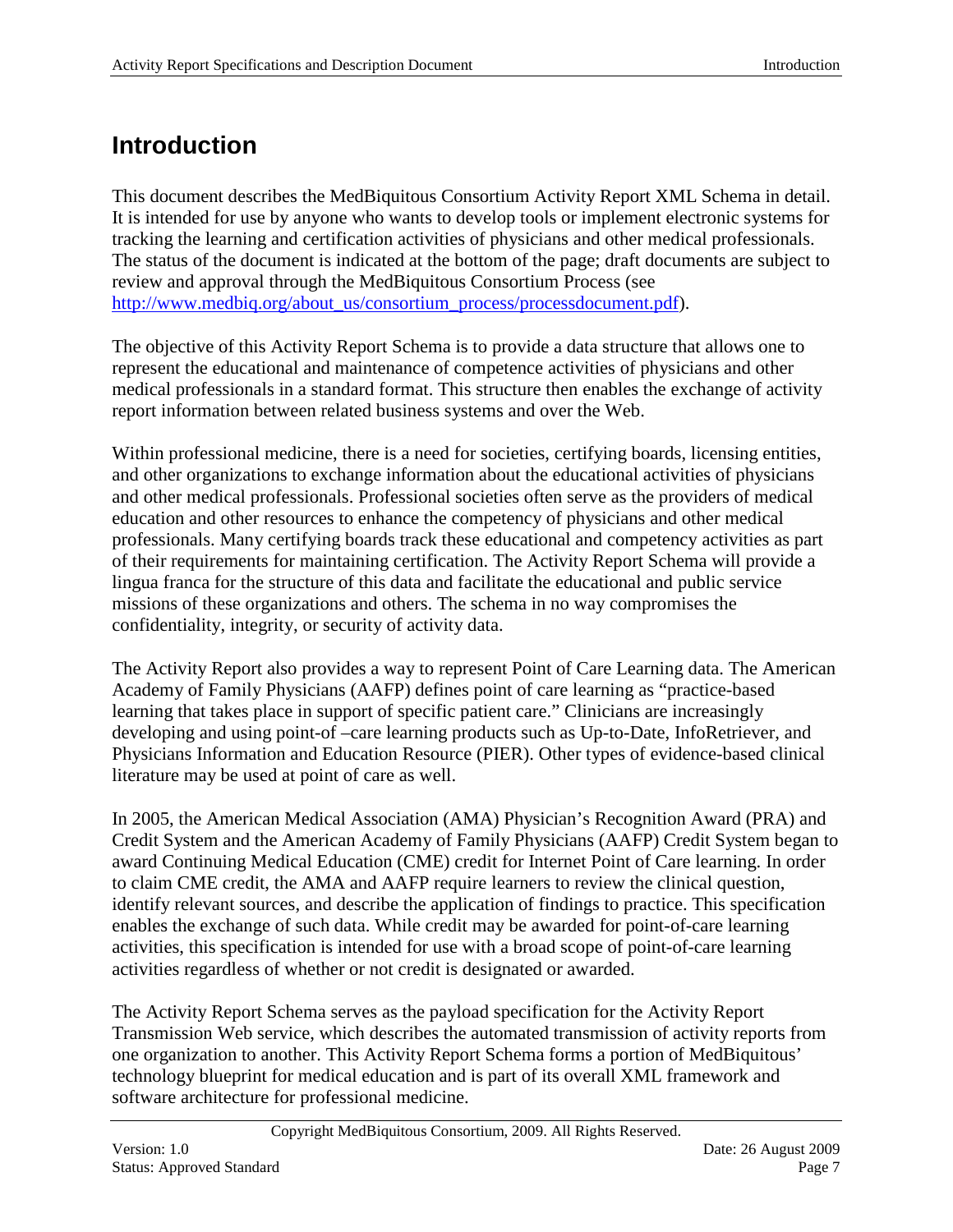## <span id="page-6-0"></span>**Introduction**

This document describes the MedBiquitous Consortium Activity Report XML Schema in detail. It is intended for use by anyone who wants to develop tools or implement electronic systems for tracking the learning and certification activities of physicians and other medical professionals. The status of the document is indicated at the bottom of the page; draft documents are subject to review and approval through the MedBiquitous Consortium Process (see http://www.medbig.org/about\_us/consortium\_process/processdocument.pdf).

The objective of this Activity Report Schema is to provide a data structure that allows one to represent the educational and maintenance of competence activities of physicians and other medical professionals in a standard format. This structure then enables the exchange of activity report information between related business systems and over the Web.

Within professional medicine, there is a need for societies, certifying boards, licensing entities, and other organizations to exchange information about the educational activities of physicians and other medical professionals. Professional societies often serve as the providers of medical education and other resources to enhance the competency of physicians and other medical professionals. Many certifying boards track these educational and competency activities as part of their requirements for maintaining certification. The Activity Report Schema will provide a lingua franca for the structure of this data and facilitate the educational and public service missions of these organizations and others. The schema in no way compromises the confidentiality, integrity, or security of activity data.

The Activity Report also provides a way to represent Point of Care Learning data. The American Academy of Family Physicians (AAFP) defines point of care learning as "practice-based learning that takes place in support of specific patient care." Clinicians are increasingly developing and using point-of –care learning products such as Up-to-Date, InfoRetriever, and Physicians Information and Education Resource (PIER). Other types of evidence-based clinical literature may be used at point of care as well.

In 2005, the American Medical Association (AMA) Physician's Recognition Award (PRA) and Credit System and the American Academy of Family Physicians (AAFP) Credit System began to award Continuing Medical Education (CME) credit for Internet Point of Care learning. In order to claim CME credit, the AMA and AAFP require learners to review the clinical question, identify relevant sources, and describe the application of findings to practice. This specification enables the exchange of such data. While credit may be awarded for point-of-care learning activities, this specification is intended for use with a broad scope of point-of-care learning activities regardless of whether or not credit is designated or awarded.

The Activity Report Schema serves as the payload specification for the Activity Report Transmission Web service, which describes the automated transmission of activity reports from one organization to another. This Activity Report Schema forms a portion of MedBiquitous' technology blueprint for medical education and is part of its overall XML framework and software architecture for professional medicine.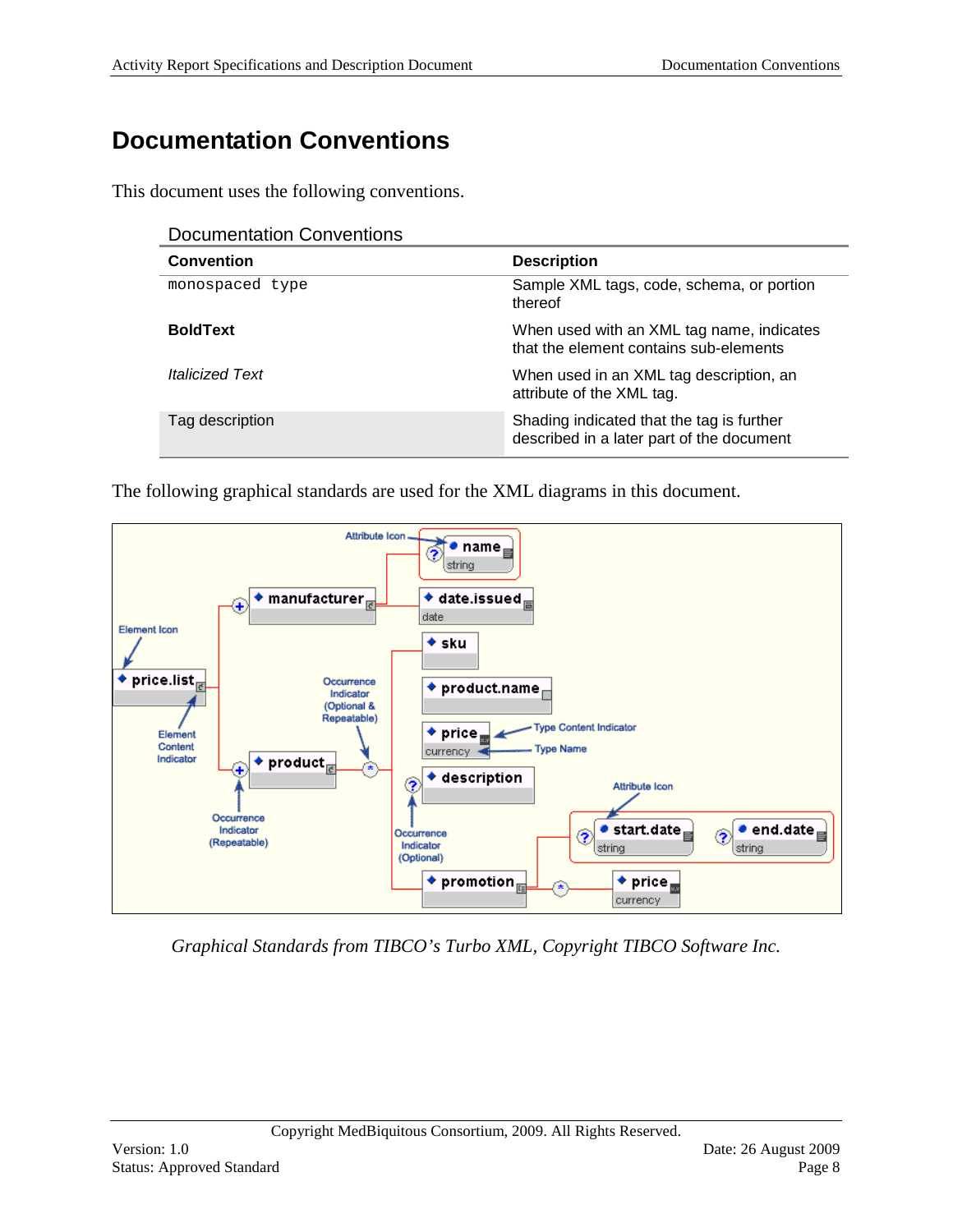# <span id="page-7-0"></span>**Documentation Conventions**

This document uses the following conventions.

| <b>Documentation Conventions</b> |  |
|----------------------------------|--|
|----------------------------------|--|

| <b>Convention</b>             | <b>Description</b>                                                                     |
|-------------------------------|----------------------------------------------------------------------------------------|
| monospaced type               | Sample XML tags, code, schema, or portion<br>thereof                                   |
| <b>BoldText</b>               | When used with an XML tag name, indicates<br>that the element contains sub-elements    |
| <i><b>Italicized Text</b></i> | When used in an XML tag description, an<br>attribute of the XML tag.                   |
| Tag description               | Shading indicated that the tag is further<br>described in a later part of the document |

The following graphical standards are used for the XML diagrams in this document.



*Graphical Standards from TIBCO's Turbo XML, Copyright TIBCO Software Inc.*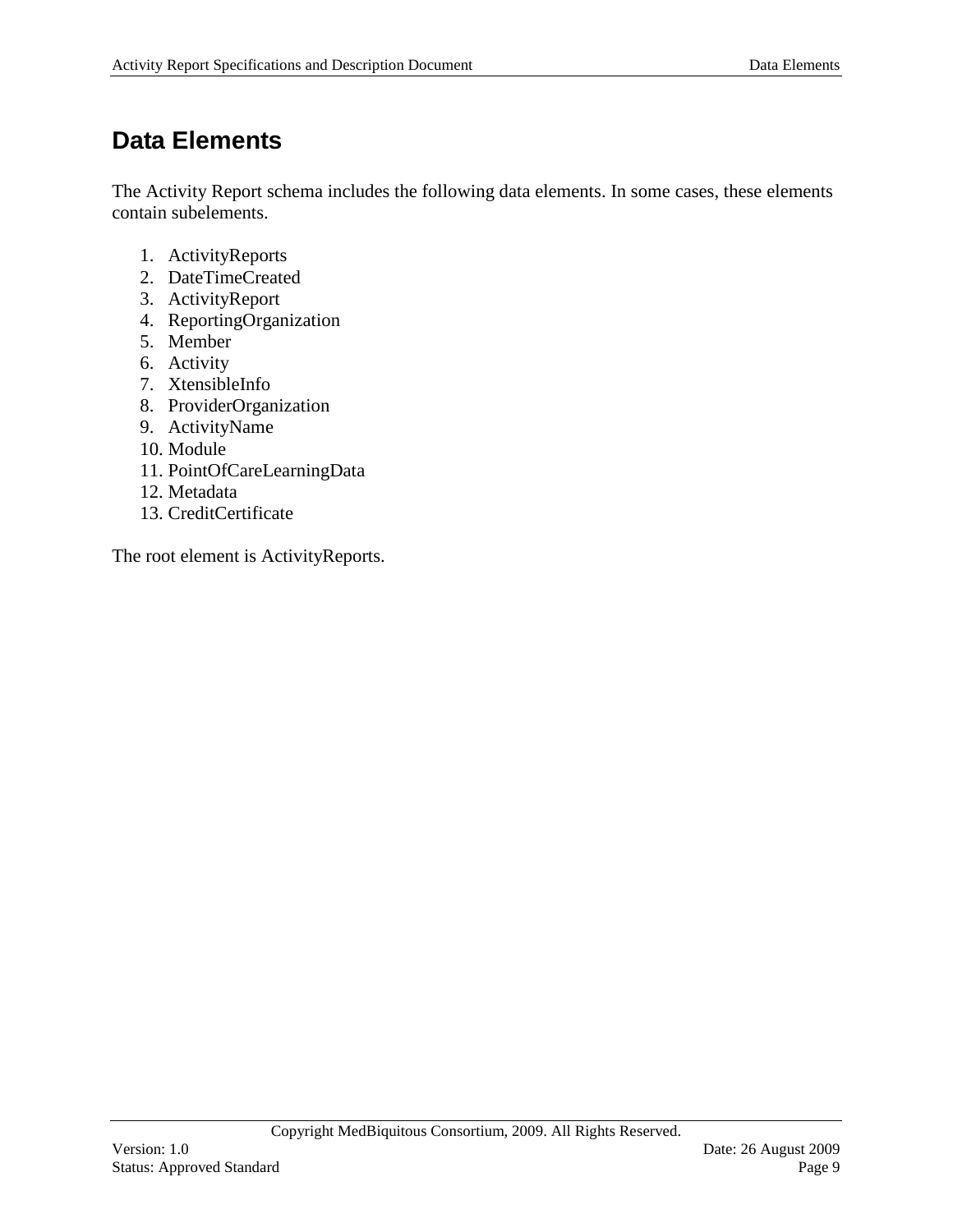## <span id="page-8-0"></span>**Data Elements**

The Activity Report schema includes the following data elements. In some cases, these elements contain subelements.

- 1. ActivityReports
- 2. DateTimeCreated
- 3. ActivityReport
- 4. ReportingOrganization
- 5. Member
- 6. Activity
- 7. XtensibleInfo
- 8. ProviderOrganization
- 9. ActivityName
- 10. Module
- 11. PointOfCareLearningData
- 12. Metadata
- 13. CreditCertificate

The root element is ActivityReports.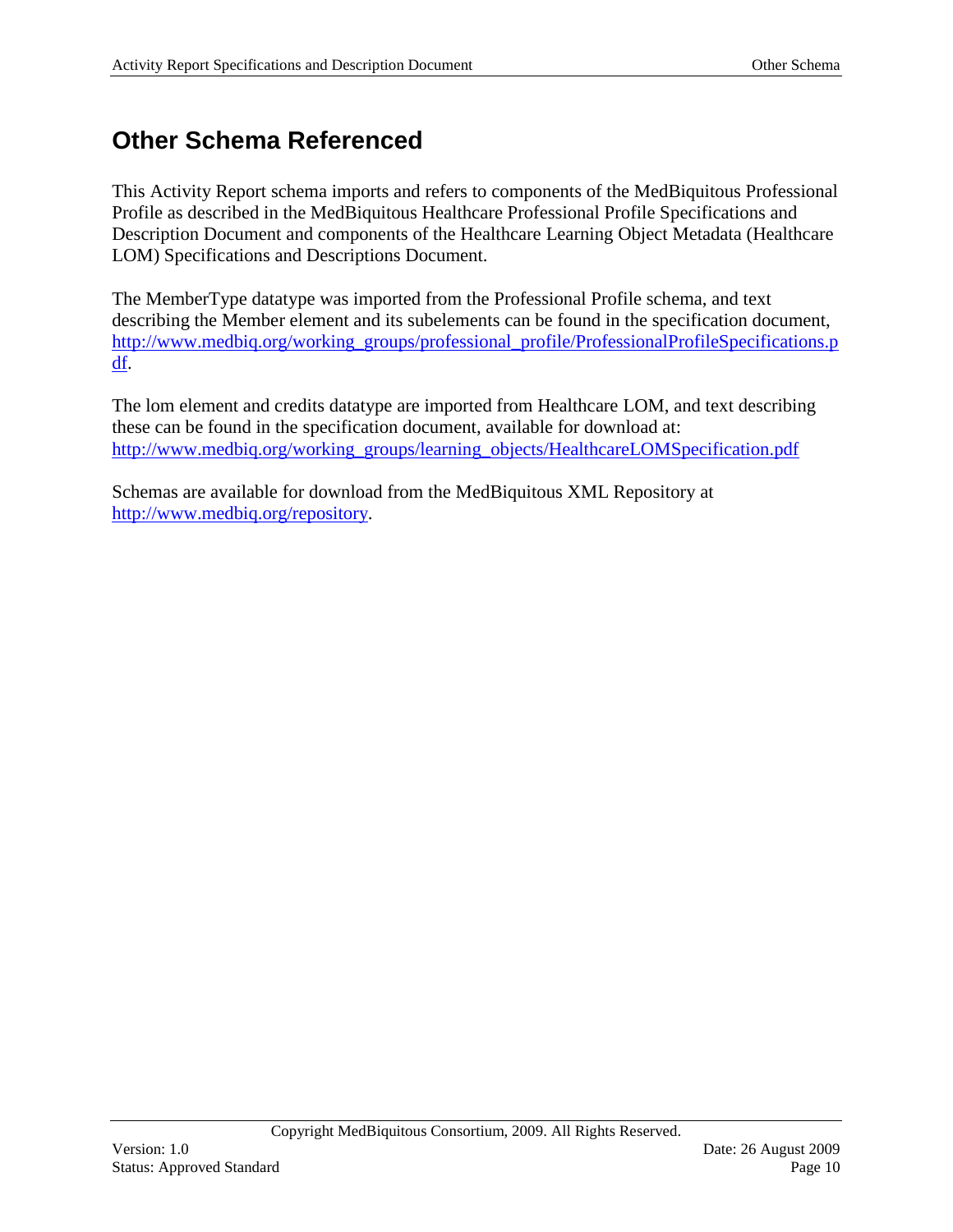## <span id="page-9-0"></span>**Other Schema Referenced**

This Activity Report schema imports and refers to components of the MedBiquitous Professional Profile as described in the MedBiquitous Healthcare Professional Profile Specifications and Description Document and components of the Healthcare Learning Object Metadata (Healthcare LOM) Specifications and Descriptions Document.

The MemberType datatype was imported from the Professional Profile schema, and text describing the Member element and its subelements can be found in the specification document, [http://www.medbiq.org/working\\_groups/professional\\_profile/ProfessionalProfileSpecifications.p](http://www.medbiq.org/working_groups/professional_profile/ProfessionalProfileSpecifications.pdf) [df.](http://www.medbiq.org/working_groups/professional_profile/ProfessionalProfileSpecifications.pdf)

The lom element and credits datatype are imported from Healthcare LOM, and text describing these can be found in the specification document, available for download at: [http://www.medbiq.org/working\\_groups/learning\\_objects/HealthcareLOMSpecification.pdf](http://www.medbiq.org/working_groups/learning_objects/HealthcareLOMSpecification.pdf)

Schemas are available for download from the MedBiquitous XML Repository at [http://www.medbiq.org/repository.](http://www.medbiq.org/repository)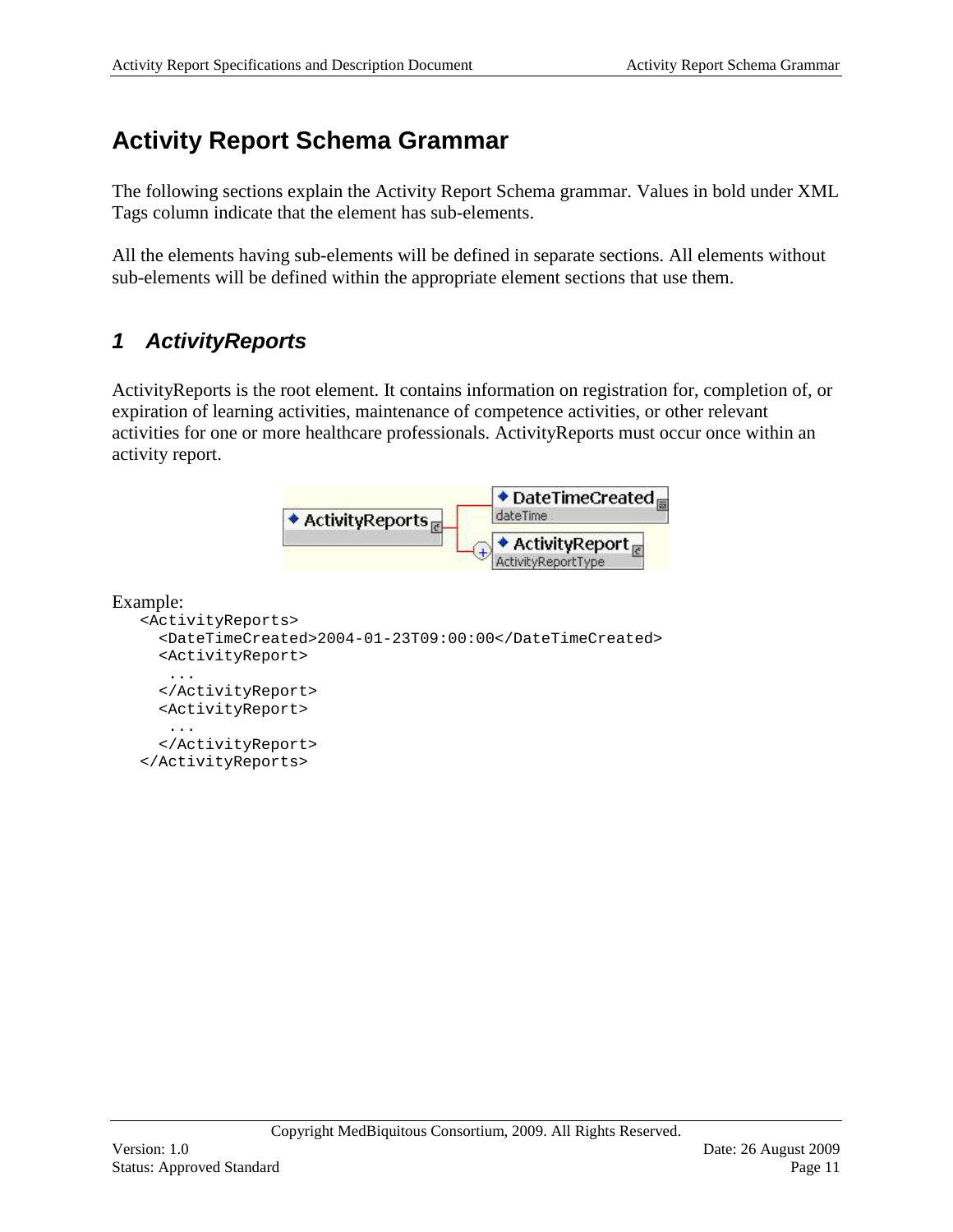## <span id="page-10-0"></span>**Activity Report Schema Grammar**

The following sections explain the Activity Report Schema grammar. Values in bold under XML Tags column indicate that the element has sub-elements.

All the elements having sub-elements will be defined in separate sections. All elements without sub-elements will be defined within the appropriate element sections that use them.

### <span id="page-10-1"></span>*1 ActivityReports*

ActivityReports is the root element. It contains information on registration for, completion of, or expiration of learning activities, maintenance of competence activities, or other relevant activities for one or more healthcare professionals. ActivityReports must occur once within an activity report.



#### Example:

```
<ActivityReports>
   <DateTimeCreated>2004-01-23T09:00:00</DateTimeCreated>
   <ActivityReport>
   ...
   </ActivityReport>
   <ActivityReport>
   ...
   </ActivityReport>
</ActivityReports>
```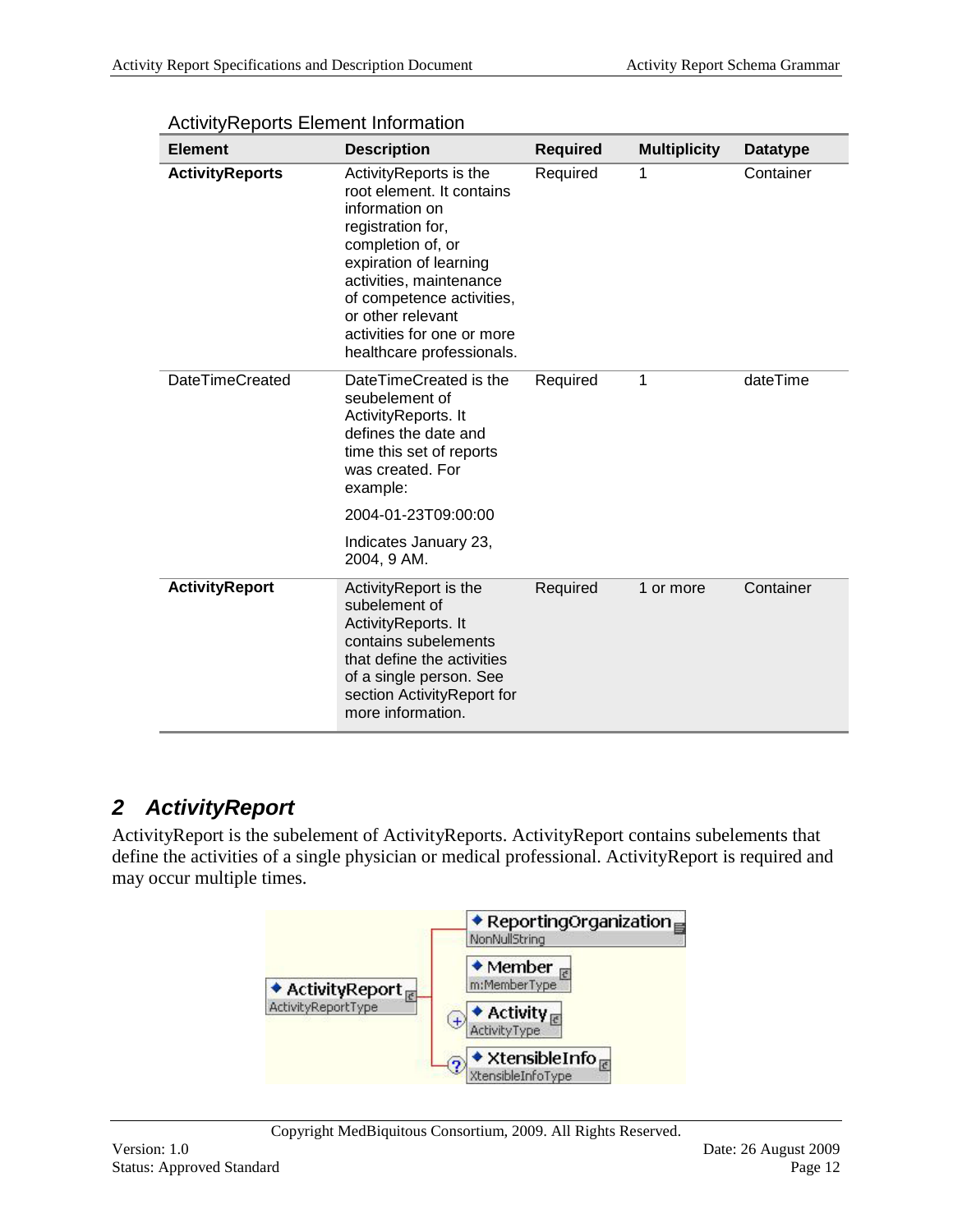| <b>Element</b>         | <b>Description</b>                                                                                                                                                                                                                                                                | <b>Required</b> | <b>Multiplicity</b> | <b>Datatype</b> |
|------------------------|-----------------------------------------------------------------------------------------------------------------------------------------------------------------------------------------------------------------------------------------------------------------------------------|-----------------|---------------------|-----------------|
| <b>ActivityReports</b> | ActivityReports is the<br>root element. It contains<br>information on<br>registration for,<br>completion of, or<br>expiration of learning<br>activities, maintenance<br>of competence activities,<br>or other relevant<br>activities for one or more<br>healthcare professionals. | Required        | 1                   | Container       |
| <b>DateTimeCreated</b> | DateTimeCreated is the<br>seubelement of<br>ActivityReports. It<br>defines the date and<br>time this set of reports<br>was created. For<br>example:                                                                                                                               | Required        | 1                   | dateTime        |
|                        | 2004-01-23T09:00:00                                                                                                                                                                                                                                                               |                 |                     |                 |
|                        | Indicates January 23,<br>2004, 9 AM.                                                                                                                                                                                                                                              |                 |                     |                 |
| <b>ActivityReport</b>  | ActivityReport is the<br>subelement of<br>ActivityReports. It<br>contains subelements<br>that define the activities<br>of a single person. See<br>section ActivityReport for<br>more information.                                                                                 | Required        | 1 or more           | Container       |

ActivityReports Element Information

### <span id="page-11-0"></span>*2 ActivityReport*

ActivityReport is the subelement of ActivityReports. ActivityReport contains subelements that define the activities of a single physician or medical professional. ActivityReport is required and may occur multiple times.

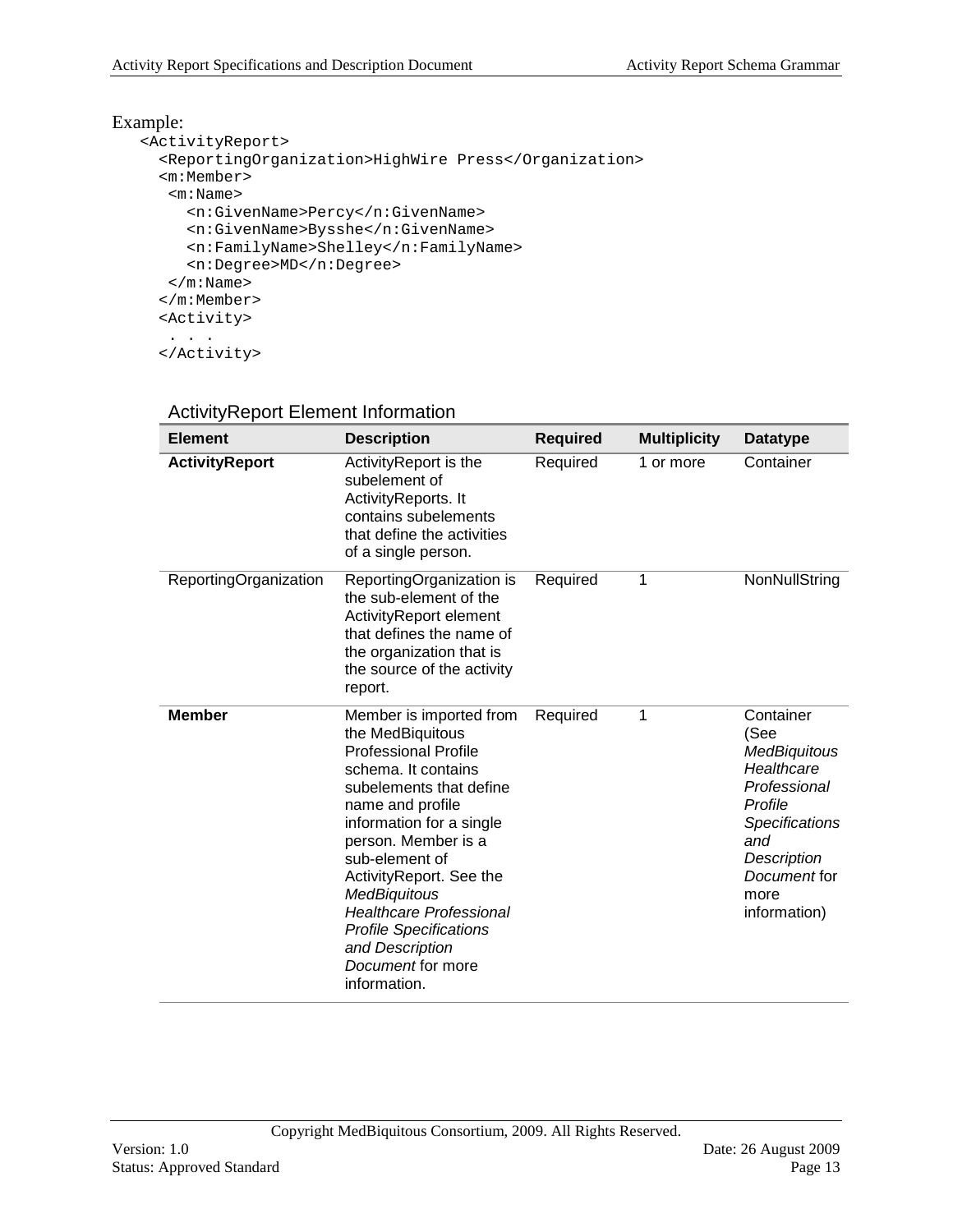### Example:

```
<ActivityReport>
   <ReportingOrganization>HighWire Press</Organization>
   <m:Member>
   <m:Name>
      <n:GivenName>Percy</n:GivenName>
      <n:GivenName>Bysshe</n:GivenName>
      <n:FamilyName>Shelley</n:FamilyName>
      <n:Degree>MD</n:Degree>
   \langle m:Name\rangle </m:Member>
   <Activity>
   . . .
   </Activity>
```
#### ActivityReport Element Information

| <b>Element</b>        | <b>Description</b>                                                                                                                                                                                                                                                                                                                                                                                 | <b>Required</b> | <b>Multiplicity</b> | <b>Datatype</b>                                                                                                                                                          |
|-----------------------|----------------------------------------------------------------------------------------------------------------------------------------------------------------------------------------------------------------------------------------------------------------------------------------------------------------------------------------------------------------------------------------------------|-----------------|---------------------|--------------------------------------------------------------------------------------------------------------------------------------------------------------------------|
| <b>ActivityReport</b> | ActivityReport is the<br>subelement of<br>ActivityReports. It<br>contains subelements<br>that define the activities<br>of a single person.                                                                                                                                                                                                                                                         | Required        | 1 or more           | Container                                                                                                                                                                |
| ReportingOrganization | ReportingOrganization is<br>the sub-element of the<br>ActivityReport element<br>that defines the name of<br>the organization that is<br>the source of the activity<br>report.                                                                                                                                                                                                                      | Required        | 1                   | NonNullString                                                                                                                                                            |
| <b>Member</b>         | Member is imported from<br>the MedBiquitous<br><b>Professional Profile</b><br>schema. It contains<br>subelements that define<br>name and profile<br>information for a single<br>person. Member is a<br>sub-element of<br>ActivityReport. See the<br><b>MedBiquitous</b><br><b>Healthcare Professional</b><br><b>Profile Specifications</b><br>and Description<br>Document for more<br>information. | Required        | 1                   | Container<br>(See<br><b>MedBiguitous</b><br>Healthcare<br>Professional<br>Profile<br><b>Specifications</b><br>and<br>Description<br>Document for<br>more<br>information) |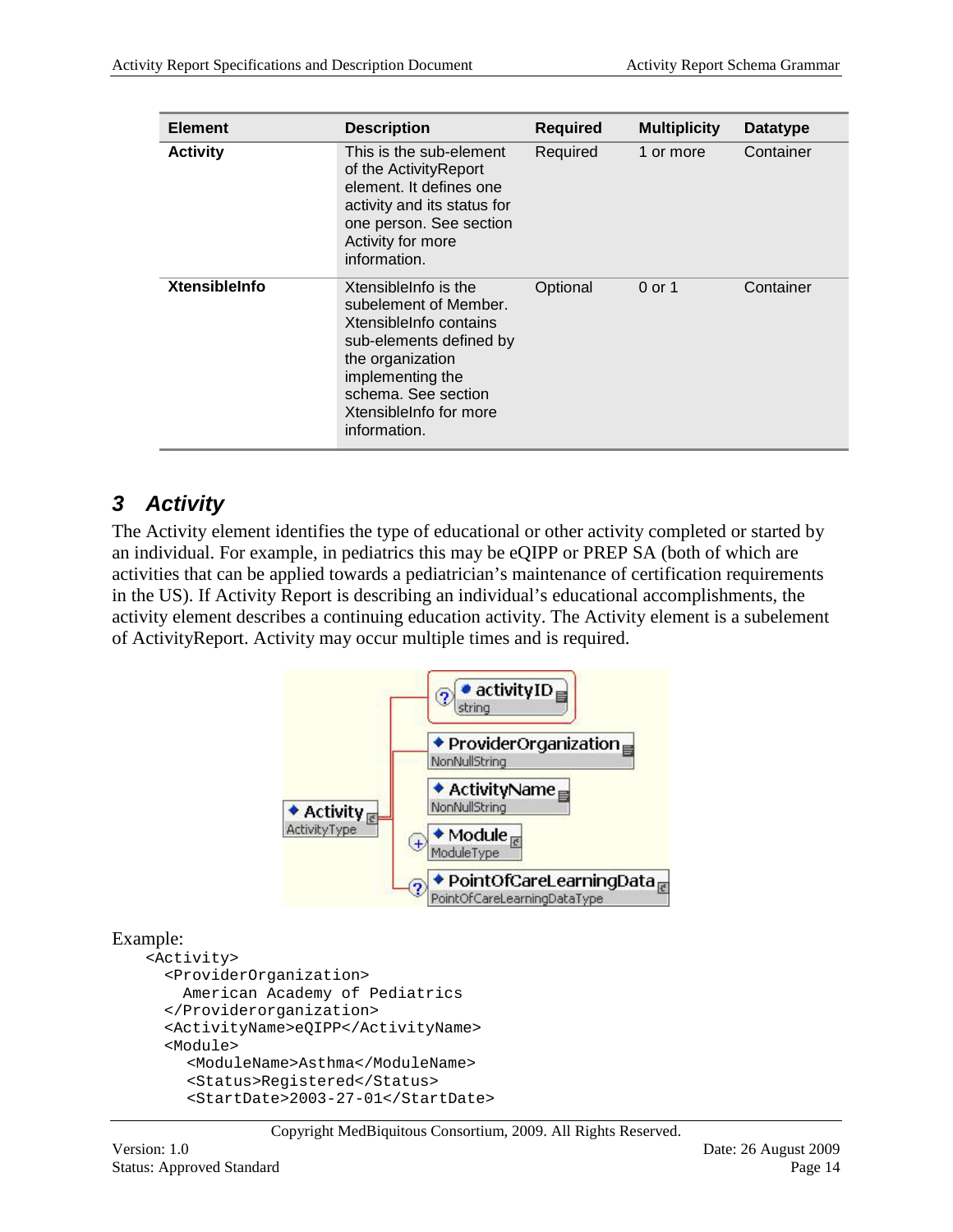| <b>Element</b>       | <b>Description</b>                                                                                                                                                                                          | <b>Required</b> | <b>Multiplicity</b> | <b>Datatype</b> |
|----------------------|-------------------------------------------------------------------------------------------------------------------------------------------------------------------------------------------------------------|-----------------|---------------------|-----------------|
| <b>Activity</b>      | This is the sub-element<br>of the ActivityReport<br>element. It defines one<br>activity and its status for<br>one person. See section<br>Activity for more<br>information.                                  | Required        | 1 or more           | Container       |
| <b>XtensibleInfo</b> | Xtensible nfo is the<br>subelement of Member.<br>Xtensible nfo contains<br>sub-elements defined by<br>the organization<br>implementing the<br>schema. See section<br>Xtensible nfo for more<br>information. | Optional        | 0 or 1              | Container       |

### <span id="page-13-0"></span>*3 Activity*

The Activity element identifies the type of educational or other activity completed or started by an individual. For example, in pediatrics this may be eQIPP or PREP SA (both of which are activities that can be applied towards a pediatrician's maintenance of certification requirements in the US). If Activity Report is describing an individual's educational accomplishments, the activity element describes a continuing education activity. The Activity element is a subelement of ActivityReport. Activity may occur multiple times and is required.



#### Example:

```
<Activity>
  <ProviderOrganization>
     American Academy of Pediatrics 
   </Providerorganization>
   <ActivityName>eQIPP</ActivityName>
   <Module>
     <ModuleName>Asthma</ModuleName>
     <Status>Registered</Status>
     <StartDate>2003-27-01</StartDate>
```
Copyright MedBiquitous Consortium, 2009. All Rights Reserved.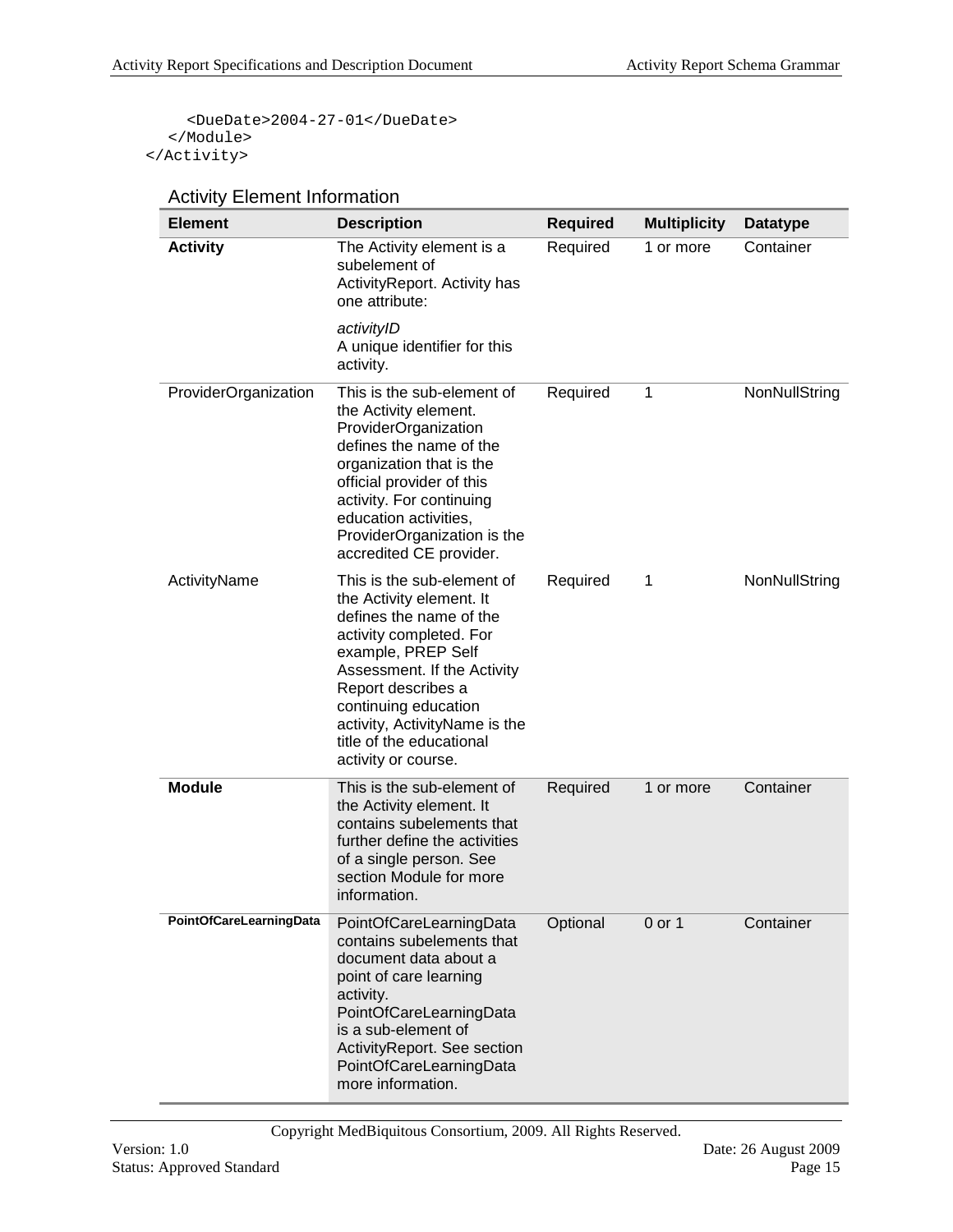<DueDate>2004-27-01</DueDate> </Module> </Activity>

|  |  | <b>Activity Element Information</b> |
|--|--|-------------------------------------|
|--|--|-------------------------------------|

| <b>Element</b>          | <b>Description</b>                                                                                                                                                                                                                                                                                  | <b>Required</b> | <b>Multiplicity</b> | <b>Datatype</b> |
|-------------------------|-----------------------------------------------------------------------------------------------------------------------------------------------------------------------------------------------------------------------------------------------------------------------------------------------------|-----------------|---------------------|-----------------|
| <b>Activity</b>         | The Activity element is a<br>subelement of<br>ActivityReport. Activity has<br>one attribute:                                                                                                                                                                                                        | Required        | 1 or more           | Container       |
|                         | activityID<br>A unique identifier for this<br>activity.                                                                                                                                                                                                                                             |                 |                     |                 |
| ProviderOrganization    | This is the sub-element of<br>the Activity element.<br>ProviderOrganization<br>defines the name of the<br>organization that is the<br>official provider of this<br>activity. For continuing<br>education activities,<br>ProviderOrganization is the<br>accredited CE provider.                      | Required        | 1                   | NonNullString   |
| ActivityName            | This is the sub-element of<br>the Activity element. It<br>defines the name of the<br>activity completed. For<br>example, PREP Self<br>Assessment. If the Activity<br>Report describes a<br>continuing education<br>activity, ActivityName is the<br>title of the educational<br>activity or course. | Required        | 1                   | NonNullString   |
| <b>Module</b>           | This is the sub-element of<br>the Activity element. It<br>contains subelements that<br>further define the activities<br>of a single person. See<br>section Module for more<br>information.                                                                                                          | Required        | 1 or more           | Container       |
| PointOfCareLearningData | PointOfCareLearningData<br>contains subelements that<br>document data about a<br>point of care learning<br>activity.<br>PointOfCareLearningData<br>is a sub-element of<br>ActivityReport. See section<br>PointOfCareLearningData<br>more information.                                               | Optional        | 0 or 1              | Container       |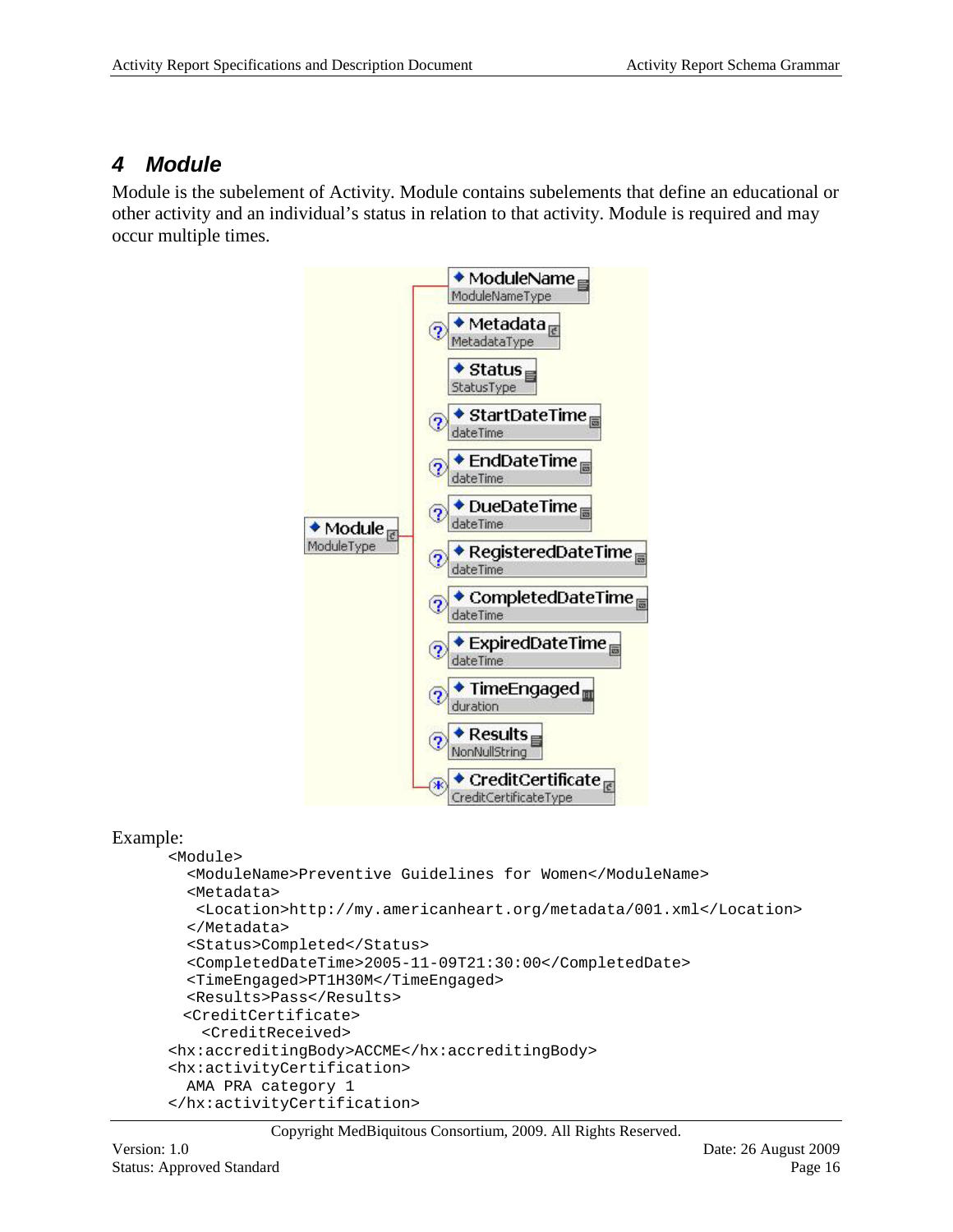### <span id="page-15-0"></span>*4 Module*

Module is the subelement of Activity. Module contains subelements that define an educational or other activity and an individual's status in relation to that activity. Module is required and may occur multiple times.



#### Example:

```
<Module>
   <ModuleName>Preventive Guidelines for Women</ModuleName>
   <Metadata>
   <Location>http://my.americanheart.org/metadata/001.xml</Location>
   </Metadata>
   <Status>Completed</Status>
   <CompletedDateTime>2005-11-09T21:30:00</CompletedDate>
   <TimeEngaged>PT1H30M</TimeEngaged>
   <Results>Pass</Results>
  <CreditCertificate>
    <CreditReceived>
<hx:accreditingBody>ACCME</hx:accreditingBody>
<hx:activityCertification>
  AMA PRA category 1
</hx:activityCertification>
```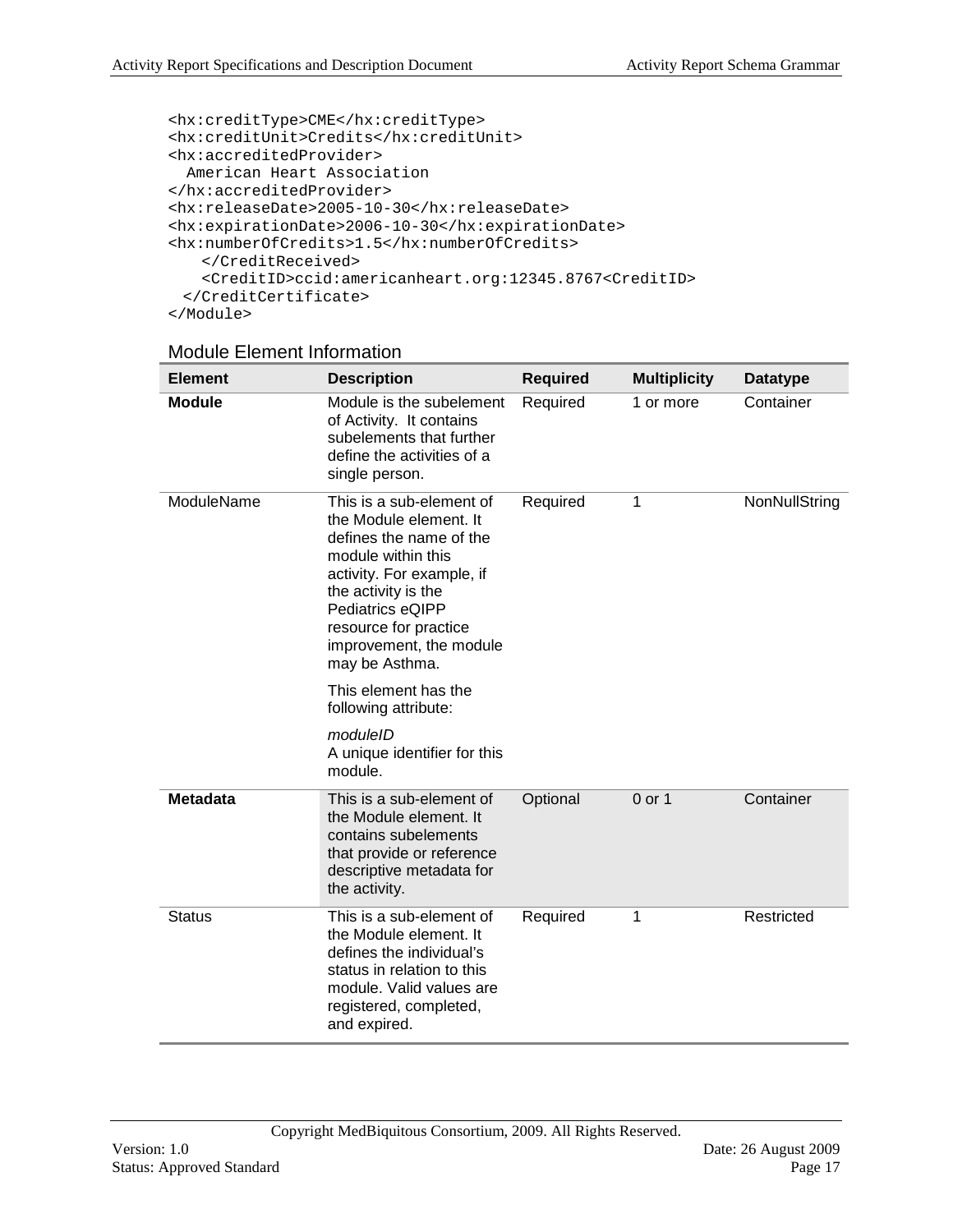```
<hx:creditType>CME</hx:creditType>
<hx:creditUnit>Credits</hx:creditUnit>
<hx:accreditedProvider>
  American Heart Association
</hx:accreditedProvider>
<hx:releaseDate>2005-10-30</hx:releaseDate>
<hx:expirationDate>2006-10-30</hx:expirationDate>
<hx:numberOfCredits>1.5</hx:numberOfCredits>
    </CreditReceived>
    <CreditID>ccid:americanheart.org:12345.8767<CreditID>
  </CreditCertificate>
</Module>
```
#### Module Element Information

| <b>Element</b>  | <b>Description</b>                                                                                                                                                                                                                                                                                                                            | <b>Required</b> | <b>Multiplicity</b> | <b>Datatype</b> |
|-----------------|-----------------------------------------------------------------------------------------------------------------------------------------------------------------------------------------------------------------------------------------------------------------------------------------------------------------------------------------------|-----------------|---------------------|-----------------|
| <b>Module</b>   | Module is the subelement<br>of Activity. It contains<br>subelements that further<br>define the activities of a<br>single person.                                                                                                                                                                                                              | Required        | 1 or more           | Container       |
| ModuleName      | This is a sub-element of<br>the Module element. It<br>defines the name of the<br>module within this<br>activity. For example, if<br>the activity is the<br>Pediatrics eQIPP<br>resource for practice<br>improvement, the module<br>may be Asthma.<br>This element has the<br>following attribute:<br>moduleID<br>A unique identifier for this | Required        | 1                   | NonNullString   |
| <b>Metadata</b> | module.<br>This is a sub-element of                                                                                                                                                                                                                                                                                                           | Optional        | $0$ or 1            | Container       |
|                 | the Module element. It<br>contains subelements<br>that provide or reference<br>descriptive metadata for<br>the activity.                                                                                                                                                                                                                      |                 |                     |                 |
| <b>Status</b>   | This is a sub-element of<br>the Module element. It<br>defines the individual's<br>status in relation to this<br>module. Valid values are<br>registered, completed,<br>and expired.                                                                                                                                                            | Required        | 1                   | Restricted      |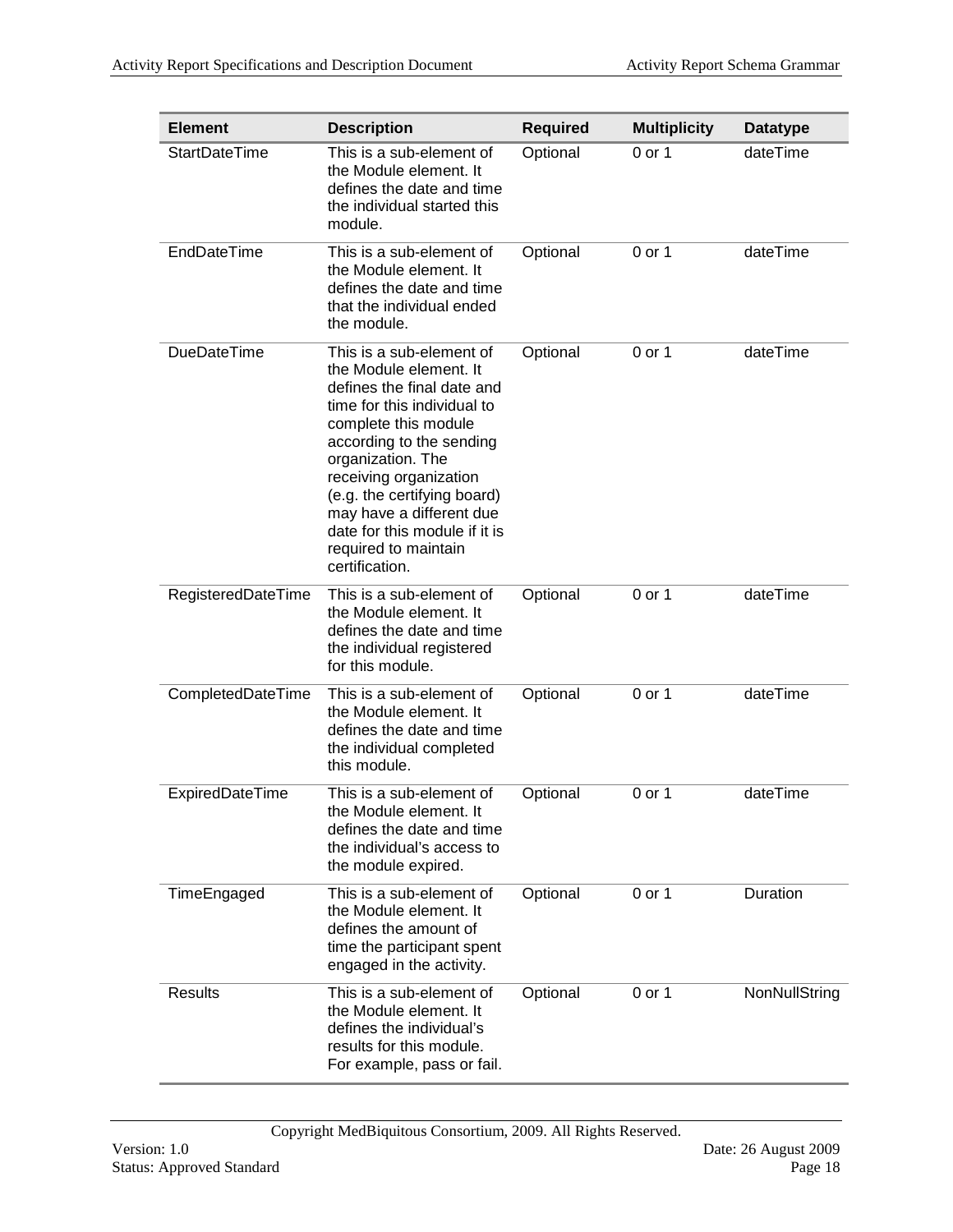| <b>Element</b>       | <b>Description</b>                                                                                                                                                                                                                                                                                                                                       | <b>Required</b> | <b>Multiplicity</b> | <b>Datatype</b> |
|----------------------|----------------------------------------------------------------------------------------------------------------------------------------------------------------------------------------------------------------------------------------------------------------------------------------------------------------------------------------------------------|-----------------|---------------------|-----------------|
| <b>StartDateTime</b> | This is a sub-element of<br>the Module element. It<br>defines the date and time<br>the individual started this<br>module.                                                                                                                                                                                                                                | Optional        | 0 or 1              | dateTime        |
| EndDateTime          | This is a sub-element of<br>the Module element. It<br>defines the date and time<br>that the individual ended<br>the module.                                                                                                                                                                                                                              | Optional        | 0 or 1              | dateTime        |
| <b>DueDateTime</b>   | This is a sub-element of<br>the Module element. It<br>defines the final date and<br>time for this individual to<br>complete this module<br>according to the sending<br>organization. The<br>receiving organization<br>(e.g. the certifying board)<br>may have a different due<br>date for this module if it is<br>required to maintain<br>certification. | Optional        | 0 or 1              | dateTime        |
| RegisteredDateTime   | This is a sub-element of<br>the Module element. It<br>defines the date and time<br>the individual registered<br>for this module.                                                                                                                                                                                                                         | Optional        | 0 or 1              | dateTime        |
| CompletedDateTime    | This is a sub-element of<br>the Module element. It<br>defines the date and time<br>the individual completed<br>this module.                                                                                                                                                                                                                              | Optional        | 0 or 1              | dateTime        |
| ExpiredDateTime      | This is a sub-element of<br>the Module element. It<br>defines the date and time<br>the individual's access to<br>the module expired.                                                                                                                                                                                                                     | Optional        | 0 or 1              | dateTime        |
| TimeEngaged          | This is a sub-element of<br>the Module element. It<br>defines the amount of<br>time the participant spent<br>engaged in the activity.                                                                                                                                                                                                                    | Optional        | 0 or 1              | Duration        |
| <b>Results</b>       | This is a sub-element of<br>the Module element. It<br>defines the individual's<br>results for this module.<br>For example, pass or fail.                                                                                                                                                                                                                 | Optional        | 0 or 1              | NonNullString   |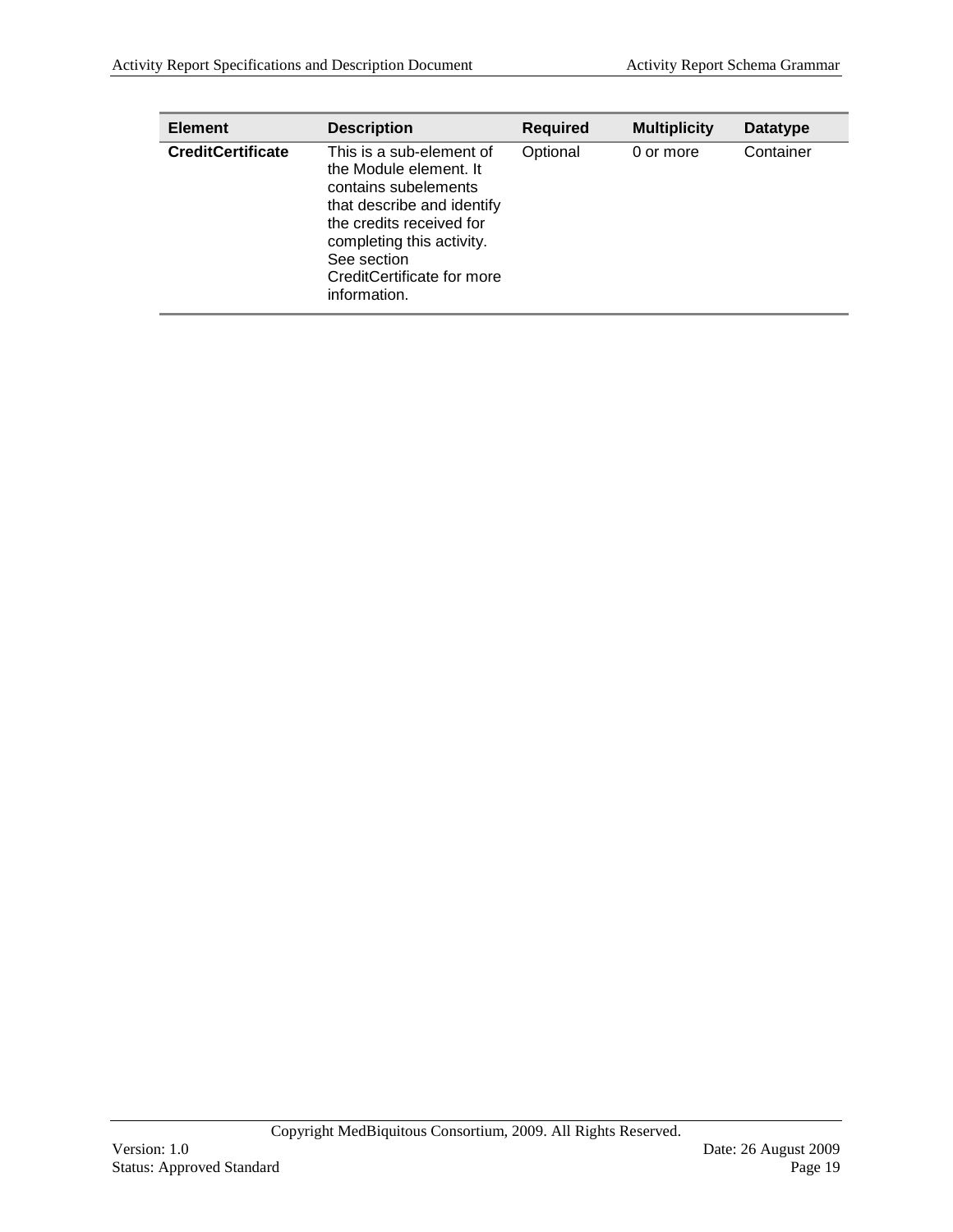| <b>Element</b>           | <b>Description</b>                                                                                                                                                                                                             | <b>Required</b> | <b>Multiplicity</b> | <b>Datatype</b> |
|--------------------------|--------------------------------------------------------------------------------------------------------------------------------------------------------------------------------------------------------------------------------|-----------------|---------------------|-----------------|
| <b>CreditCertificate</b> | This is a sub-element of<br>the Module element. It<br>contains subelements<br>that describe and identify<br>the credits received for<br>completing this activity.<br>See section<br>CreditCertificate for more<br>information. | Optional        | 0 or more           | Container       |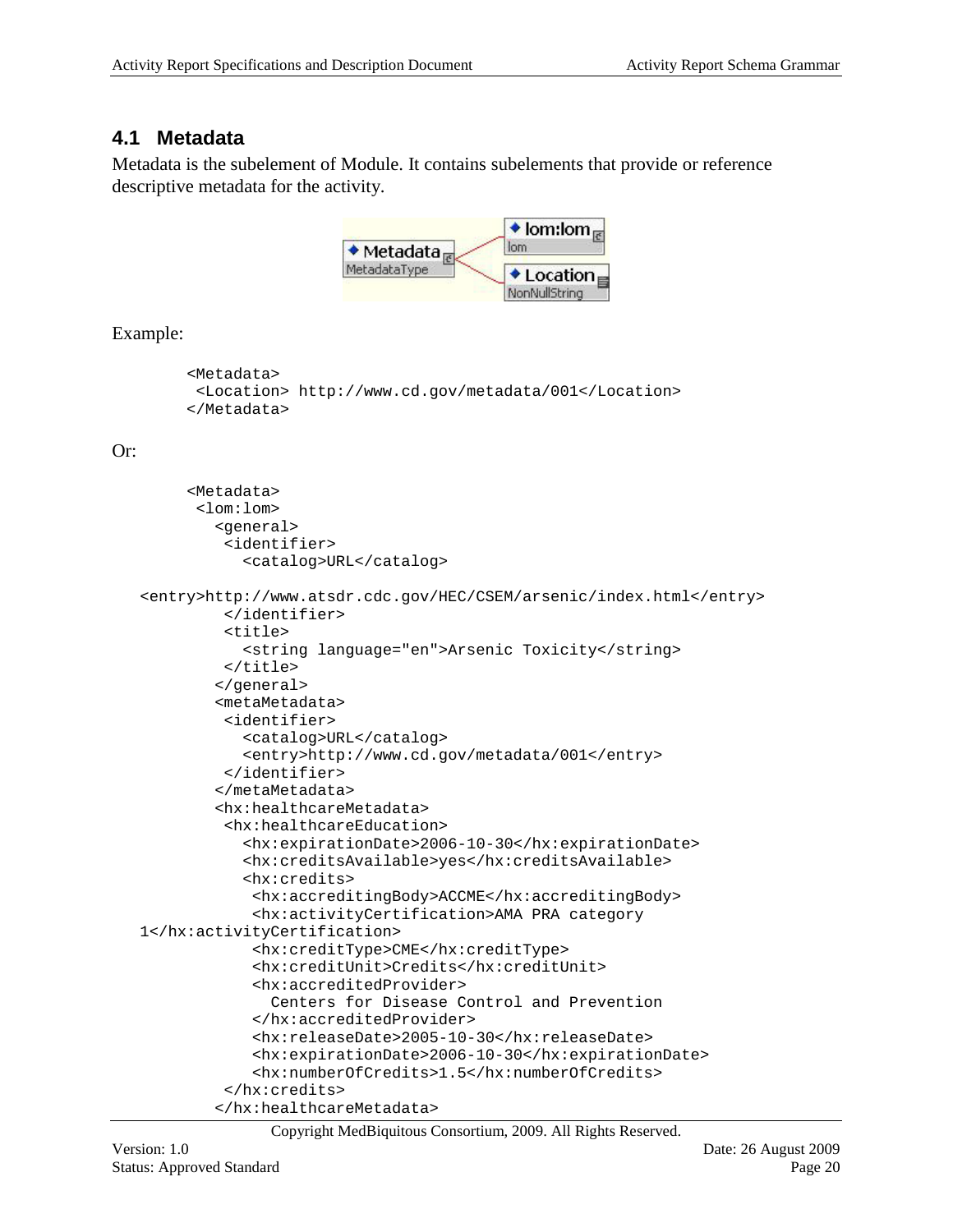### <span id="page-19-0"></span>**4.1 Metadata**

Metadata is the subelement of Module. It contains subelements that provide or reference descriptive metadata for the activity.



Example:

```
 <Metadata>
<Location> http://www.cd.gov/metadata/001</Location>
 </Metadata>
```
#### Or:

```
 <Metadata>
      <lom:lom>
         <general>
         <identifier>
            <catalog>URL</catalog>
<entry>http://www.atsdr.cdc.gov/HEC/CSEM/arsenic/index.html</entry>
         </identifier>
         <title>
            <string language="en">Arsenic Toxicity</string>
         </title>
         </general>
         <metaMetadata>
         <identifier>
            <catalog>URL</catalog>
            <entry>http://www.cd.gov/metadata/001</entry>
         </identifier>
         </metaMetadata>
         <hx:healthcareMetadata>
         <hx:healthcareEducation>
            <hx:expirationDate>2006-10-30</hx:expirationDate>
            <hx:creditsAvailable>yes</hx:creditsAvailable>
            <hx:credits>
            <hx:accreditingBody>ACCME</hx:accreditingBody>
            <hx:activityCertification>AMA PRA category 
1</hx:activityCertification>
            <hx:creditType>CME</hx:creditType>
            <hx:creditUnit>Credits</hx:creditUnit>
            <hx:accreditedProvider>
               Centers for Disease Control and Prevention
            </hx:accreditedProvider>
            <hx:releaseDate>2005-10-30</hx:releaseDate>
            <hx:expirationDate>2006-10-30</hx:expirationDate>
            <hx:numberOfCredits>1.5</hx:numberOfCredits>
         </hx:credits>
         </hx:healthcareMetadata>
```
Copyright MedBiquitous Consortium, 2009. All Rights Reserved.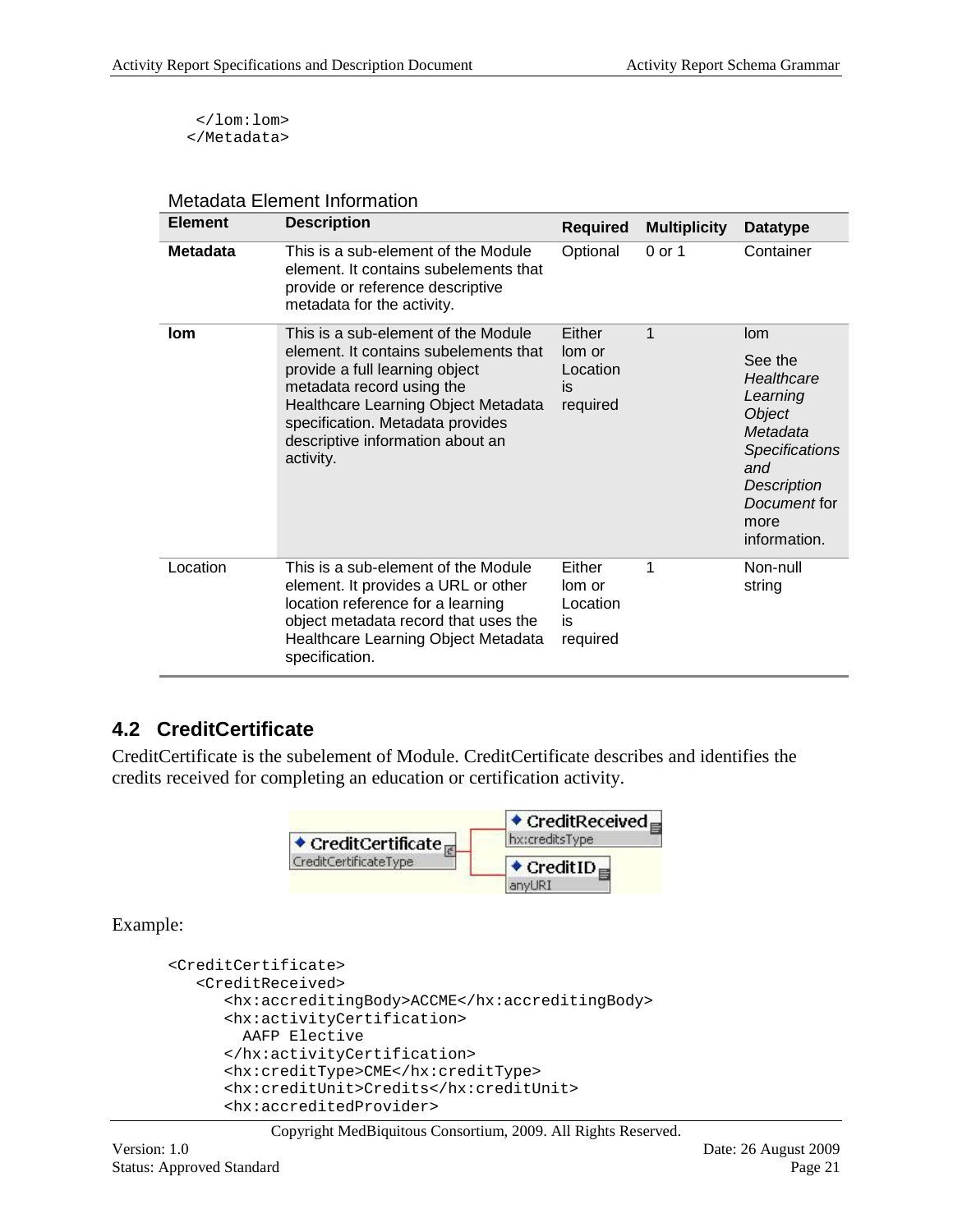</lom:lom> </Metadata>

| <b>Element</b>  | <b>Description</b>                                                                                                                                                                                                                                                      | <b>Required</b>                                | <b>Multiplicity</b> | <b>Datatype</b>                                                                                                                                                     |
|-----------------|-------------------------------------------------------------------------------------------------------------------------------------------------------------------------------------------------------------------------------------------------------------------------|------------------------------------------------|---------------------|---------------------------------------------------------------------------------------------------------------------------------------------------------------------|
| <b>Metadata</b> | This is a sub-element of the Module<br>element. It contains subelements that<br>provide or reference descriptive<br>metadata for the activity.                                                                                                                          | Optional                                       | 0 or 1              | Container                                                                                                                                                           |
| lom             | This is a sub-element of the Module<br>element. It contains subelements that<br>provide a full learning object<br>metadata record using the<br>Healthcare Learning Object Metadata<br>specification. Metadata provides<br>descriptive information about an<br>activity. | Either<br>lom or<br>Location<br>is<br>required | 1                   | lom<br>See the<br>Healthcare<br>Learning<br><b>Object</b><br>Metadata<br><b>Specifications</b><br>and<br><b>Description</b><br>Document for<br>more<br>information. |
| Location        | This is a sub-element of the Module<br>element. It provides a URL or other<br>location reference for a learning<br>object metadata record that uses the<br>Healthcare Learning Object Metadata<br>specification.                                                        | Either<br>lom or<br>Location<br>is<br>required | 1                   | Non-null<br>string                                                                                                                                                  |

#### Metadata Element Information

### <span id="page-20-0"></span>**4.2 CreditCertificate**

CreditCertificate is the subelement of Module. CreditCertificate describes and identifies the credits received for completing an education or certification activity.



Example:

```
<CreditCertificate>
   <CreditReceived>
      <hx:accreditingBody>ACCME</hx:accreditingBody>
      <hx:activityCertification>
         AAFP Elective
      </hx:activityCertification>
      <hx:creditType>CME</hx:creditType>
      <hx:creditUnit>Credits</hx:creditUnit>
      <hx:accreditedProvider>
```
Copyright MedBiquitous Consortium, 2009. All Rights Reserved.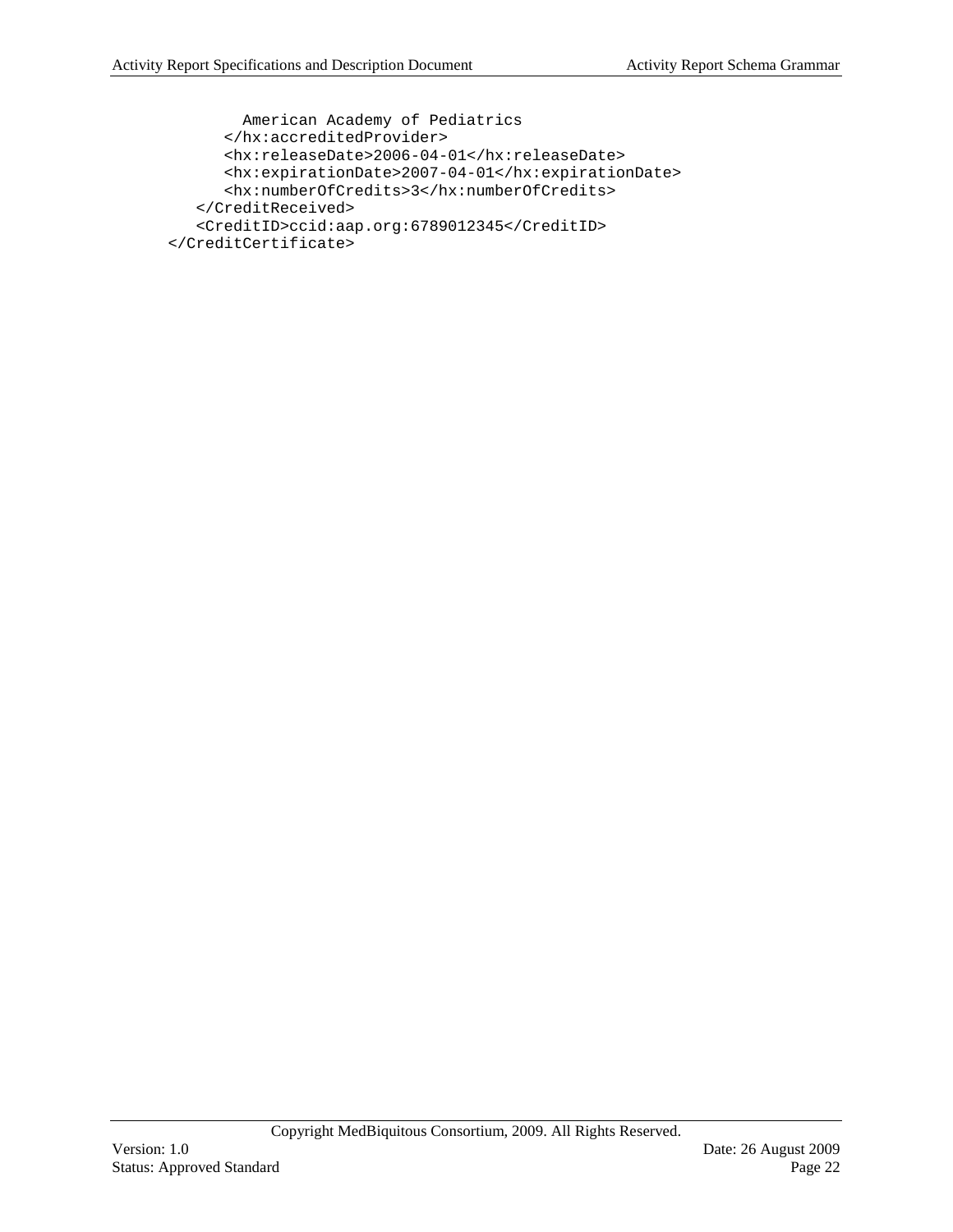```
 American Academy of Pediatrics
     </hx:accreditedProvider>
      <hx:releaseDate>2006-04-01</hx:releaseDate>
      <hx:expirationDate>2007-04-01</hx:expirationDate>
      <hx:numberOfCredits>3</hx:numberOfCredits>
   </CreditReceived>
   <CreditID>ccid:aap.org:6789012345</CreditID>
</CreditCertificate>
```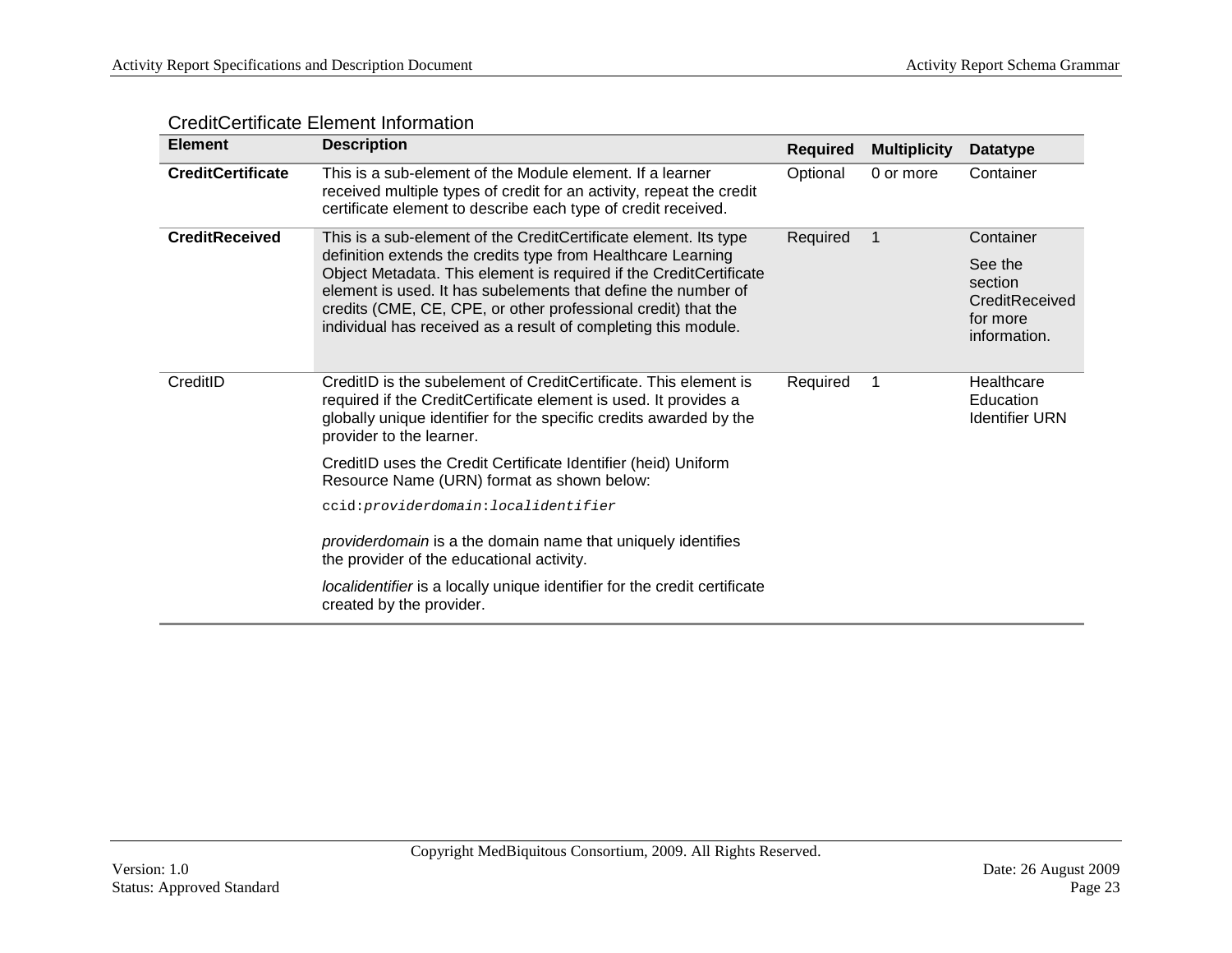| <b>Element</b>           | <b>Description</b>                                                                                                                                                                                                                                                                                                                                                                                         | <b>Required</b> | <b>Multiplicity</b> | <b>Datatype</b>                                                               |
|--------------------------|------------------------------------------------------------------------------------------------------------------------------------------------------------------------------------------------------------------------------------------------------------------------------------------------------------------------------------------------------------------------------------------------------------|-----------------|---------------------|-------------------------------------------------------------------------------|
| <b>CreditCertificate</b> | This is a sub-element of the Module element. If a learner<br>received multiple types of credit for an activity, repeat the credit<br>certificate element to describe each type of credit received.                                                                                                                                                                                                         | Optional        | 0 or more           | Container                                                                     |
| <b>CreditReceived</b>    | This is a sub-element of the CreditCertificate element. Its type<br>definition extends the credits type from Healthcare Learning<br>Object Metadata. This element is required if the CreditCertificate<br>element is used. It has subelements that define the number of<br>credits (CME, CE, CPE, or other professional credit) that the<br>individual has received as a result of completing this module. | Required        | -1                  | Container<br>See the<br>section<br>CreditReceived<br>for more<br>information. |
| CreditID                 | CreditID is the subelement of CreditCertificate. This element is<br>required if the CreditCertificate element is used. It provides a<br>globally unique identifier for the specific credits awarded by the<br>provider to the learner.                                                                                                                                                                     | Required        | 1                   | Healthcare<br>Education<br><b>Identifier URN</b>                              |
|                          | CreditID uses the Credit Certificate Identifier (heid) Uniform<br>Resource Name (URN) format as shown below:                                                                                                                                                                                                                                                                                               |                 |                     |                                                                               |
|                          | ccid: providerdomain: localidentifier                                                                                                                                                                                                                                                                                                                                                                      |                 |                     |                                                                               |
|                          | providerdomain is a the domain name that uniquely identifies<br>the provider of the educational activity.                                                                                                                                                                                                                                                                                                  |                 |                     |                                                                               |
|                          | localidentifier is a locally unique identifier for the credit certificate<br>created by the provider.                                                                                                                                                                                                                                                                                                      |                 |                     |                                                                               |

#### CreditCertificate Element Information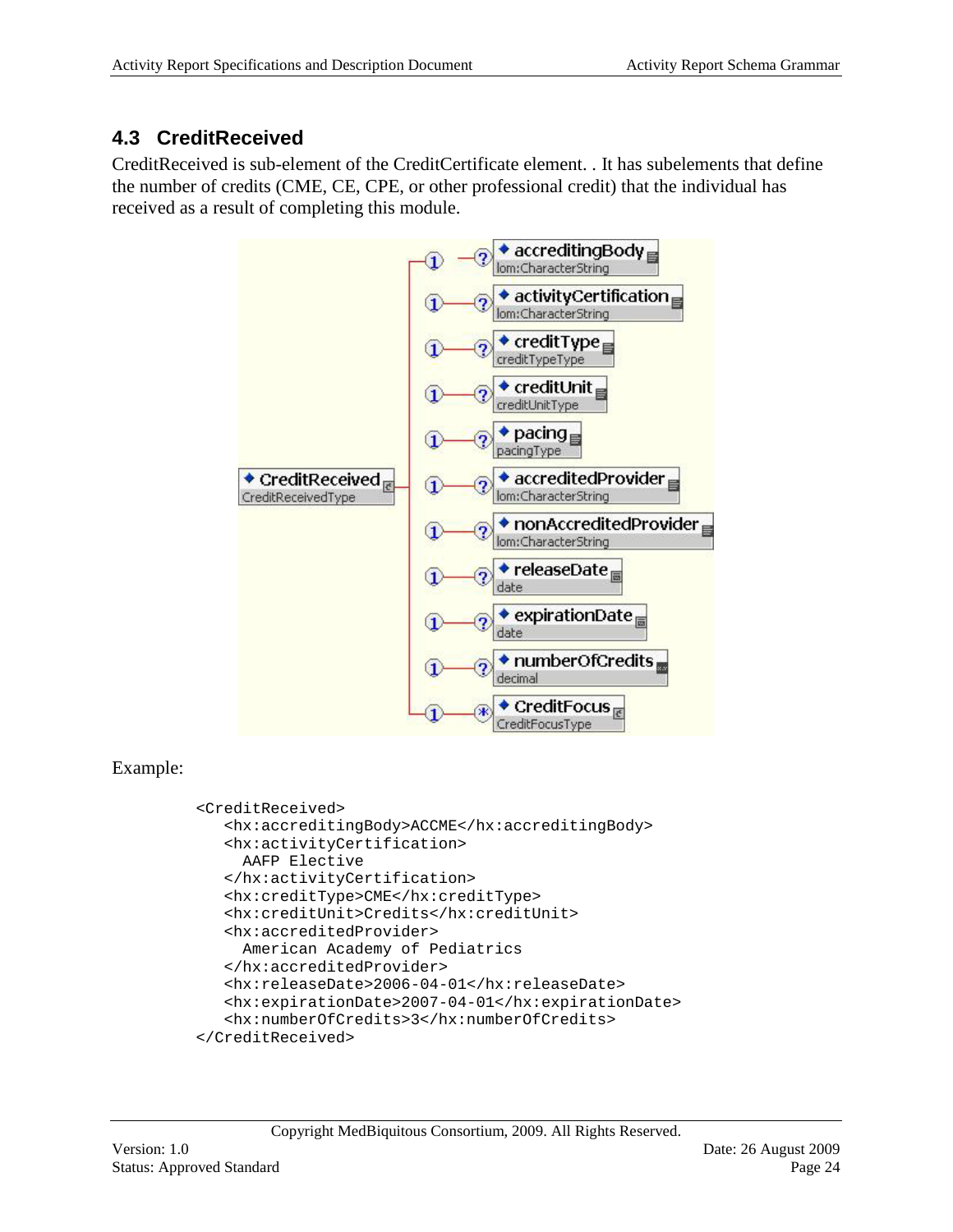### <span id="page-23-0"></span>**4.3 CreditReceived**

CreditReceived is sub-element of the CreditCertificate element. . It has subelements that define the number of credits (CME, CE, CPE, or other professional credit) that the individual has received as a result of completing this module.



### Example:

```
<CreditReceived>
   <hx:accreditingBody>ACCME</hx:accreditingBody>
   <hx:activityCertification>
      AAFP Elective
   </hx:activityCertification>
   <hx:creditType>CME</hx:creditType>
   <hx:creditUnit>Credits</hx:creditUnit>
   <hx:accreditedProvider>
     American Academy of Pediatrics
   </hx:accreditedProvider>
   <hx:releaseDate>2006-04-01</hx:releaseDate>
   <hx:expirationDate>2007-04-01</hx:expirationDate>
   <hx:numberOfCredits>3</hx:numberOfCredits>
</CreditReceived>
```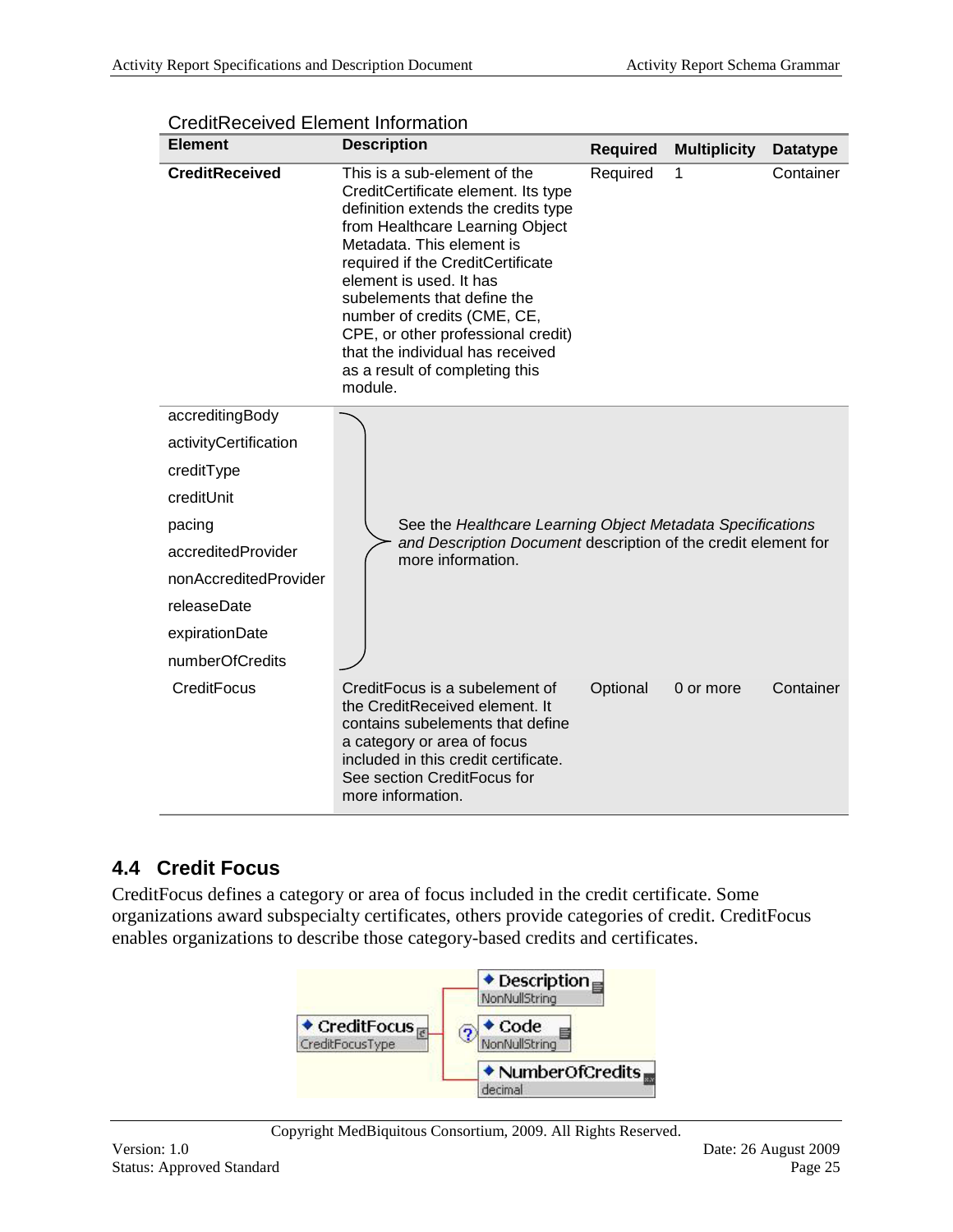| <b>Element</b>        | <b>Description</b>                                                                                                                                                                                                                                                                                                                                                                                                              | <b>Required</b> | <b>Multiplicity</b> | <b>Datatype</b> |
|-----------------------|---------------------------------------------------------------------------------------------------------------------------------------------------------------------------------------------------------------------------------------------------------------------------------------------------------------------------------------------------------------------------------------------------------------------------------|-----------------|---------------------|-----------------|
| <b>CreditReceived</b> | This is a sub-element of the<br>CreditCertificate element. Its type<br>definition extends the credits type<br>from Healthcare Learning Object<br>Metadata. This element is<br>required if the CreditCertificate<br>element is used. It has<br>subelements that define the<br>number of credits (CME, CE,<br>CPE, or other professional credit)<br>that the individual has received<br>as a result of completing this<br>module. | Required        | 1                   | Container       |
| accreditingBody       |                                                                                                                                                                                                                                                                                                                                                                                                                                 |                 |                     |                 |
| activityCertification |                                                                                                                                                                                                                                                                                                                                                                                                                                 |                 |                     |                 |
| creditType            |                                                                                                                                                                                                                                                                                                                                                                                                                                 |                 |                     |                 |
| creditUnit            |                                                                                                                                                                                                                                                                                                                                                                                                                                 |                 |                     |                 |
| pacing                | See the Healthcare Learning Object Metadata Specifications                                                                                                                                                                                                                                                                                                                                                                      |                 |                     |                 |
| accreditedProvider    | and Description Document description of the credit element for<br>more information.                                                                                                                                                                                                                                                                                                                                             |                 |                     |                 |
| nonAccreditedProvider |                                                                                                                                                                                                                                                                                                                                                                                                                                 |                 |                     |                 |
| releaseDate           |                                                                                                                                                                                                                                                                                                                                                                                                                                 |                 |                     |                 |
| expirationDate        |                                                                                                                                                                                                                                                                                                                                                                                                                                 |                 |                     |                 |
| numberOfCredits       |                                                                                                                                                                                                                                                                                                                                                                                                                                 |                 |                     |                 |
| CreditFocus           | CreditFocus is a subelement of<br>the CreditReceived element. It<br>contains subelements that define<br>a category or area of focus<br>included in this credit certificate.<br>See section CreditFocus for<br>more information.                                                                                                                                                                                                 | Optional        | 0 or more           | Container       |

CreditReceived Element Information

### <span id="page-24-0"></span>**4.4 Credit Focus**

CreditFocus defines a category or area of focus included in the credit certificate. Some organizations award subspecialty certificates, others provide categories of credit. CreditFocus enables organizations to describe those category-based credits and certificates.

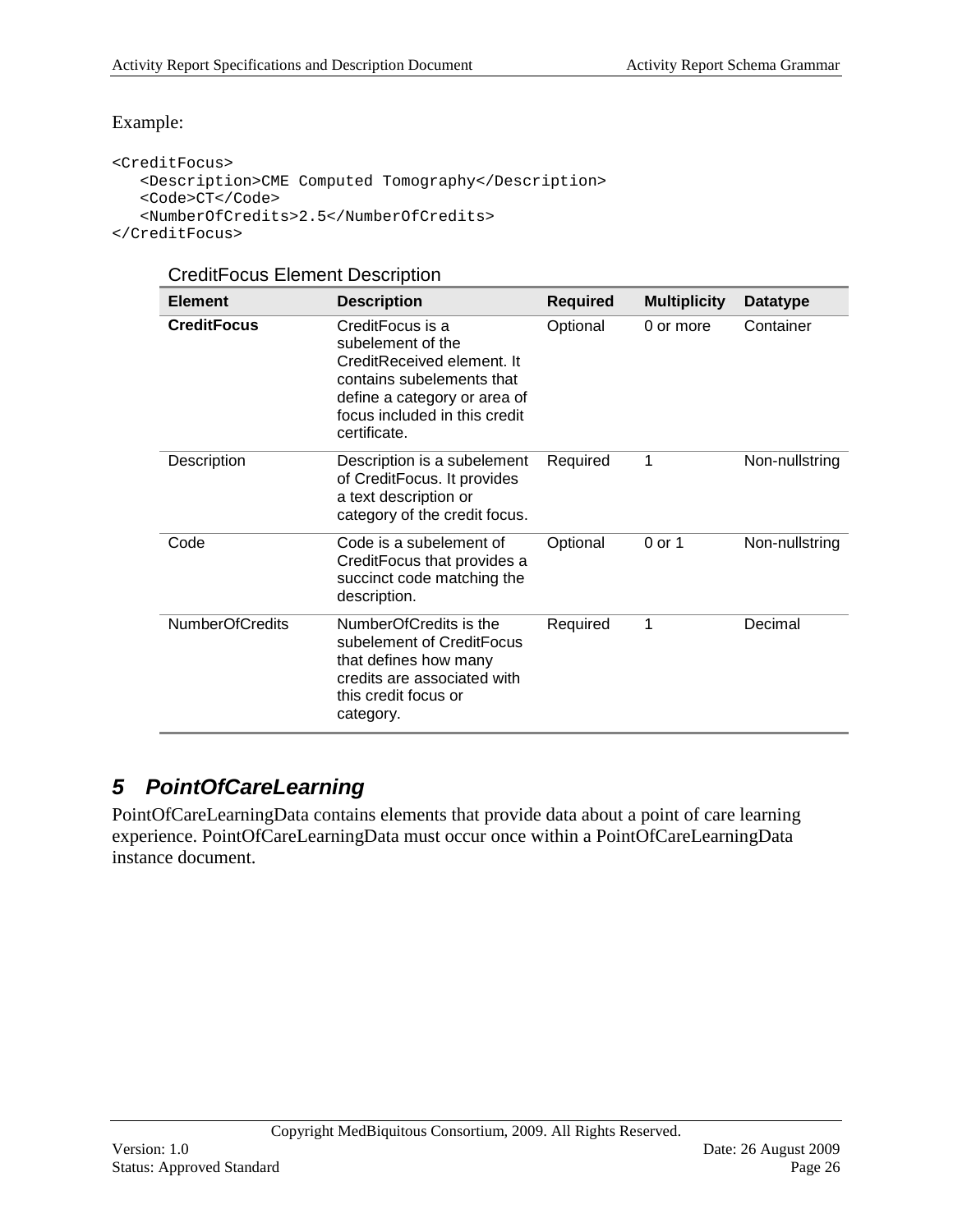#### Example:

```
<CreditFocus>
   <Description>CME Computed Tomography</Description>
   <Code>CT</Code>
   <NumberOfCredits>2.5</NumberOfCredits>
</CreditFocus>
```
#### CreditFocus Element Description

| <b>Element</b>         | <b>Description</b>                                                                                                                                                                | <b>Required</b> | <b>Multiplicity</b> | <b>Datatype</b> |
|------------------------|-----------------------------------------------------------------------------------------------------------------------------------------------------------------------------------|-----------------|---------------------|-----------------|
| <b>CreditFocus</b>     | CreditFocus is a<br>subelement of the<br>CreditReceived element. It<br>contains subelements that<br>define a category or area of<br>focus included in this credit<br>certificate. | Optional        | 0 or more           | Container       |
| Description            | Description is a subelement<br>of CreditFocus. It provides<br>a text description or<br>category of the credit focus.                                                              | Required        | 1                   | Non-nullstring  |
| Code                   | Code is a subelement of<br>CreditFocus that provides a<br>succinct code matching the<br>description.                                                                              | Optional        | 0 or 1              | Non-nullstring  |
| <b>NumberOfCredits</b> | NumberOfCredits is the<br>subelement of CreditFocus<br>that defines how many<br>credits are associated with<br>this credit focus or<br>category.                                  | Required        | 1                   | Decimal         |

### <span id="page-25-0"></span>*5 PointOfCareLearning*

PointOfCareLearningData contains elements that provide data about a point of care learning experience. PointOfCareLearningData must occur once within a PointOfCareLearningData instance document.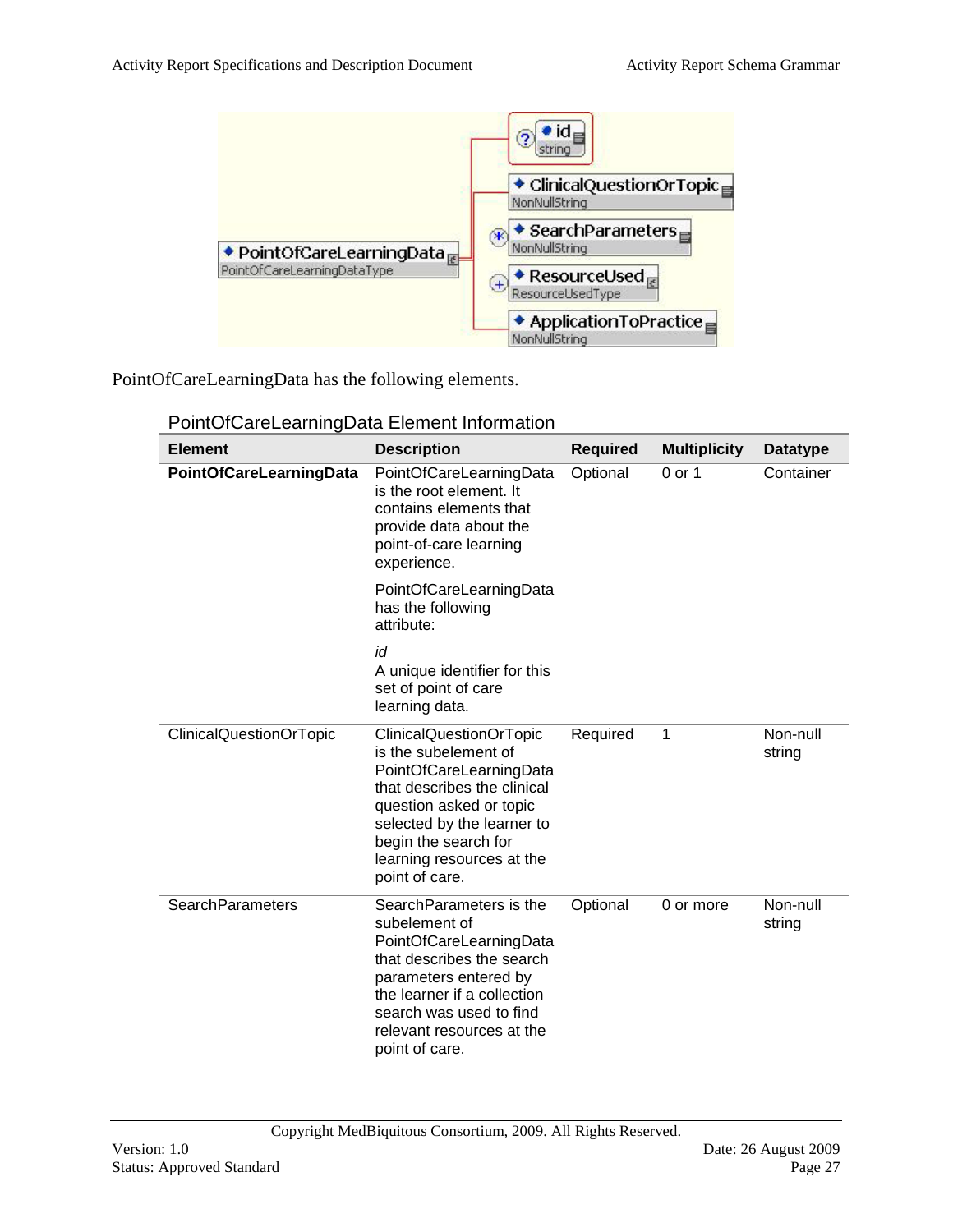

PointOfCareLearningData has the following elements.

| <b>Element</b>          | <b>Description</b>                                                                                                                                                                                                                               | <b>Required</b> | <b>Multiplicity</b> | <b>Datatype</b>    |
|-------------------------|--------------------------------------------------------------------------------------------------------------------------------------------------------------------------------------------------------------------------------------------------|-----------------|---------------------|--------------------|
| PointOfCareLearningData | PointOfCareLearningData<br>is the root element. It<br>contains elements that<br>provide data about the<br>point-of-care learning<br>experience.                                                                                                  | Optional        | 0 or 1              | Container          |
|                         | PointOfCareLearningData<br>has the following<br>attribute:                                                                                                                                                                                       |                 |                     |                    |
|                         | id<br>A unique identifier for this<br>set of point of care<br>learning data.                                                                                                                                                                     |                 |                     |                    |
| ClinicalQuestionOrTopic | <b>ClinicalQuestionOrTopic</b><br>is the subelement of<br>PointOfCareLearningData<br>that describes the clinical<br>question asked or topic<br>selected by the learner to<br>begin the search for<br>learning resources at the<br>point of care. | Required        | 1                   | Non-null<br>string |
| <b>SearchParameters</b> | Search Parameters is the<br>subelement of<br>PointOfCareLearningData<br>that describes the search<br>parameters entered by<br>the learner if a collection<br>search was used to find<br>relevant resources at the<br>point of care.              | Optional        | 0 or more           | Non-null<br>string |

PointOfCareLearningData Element Information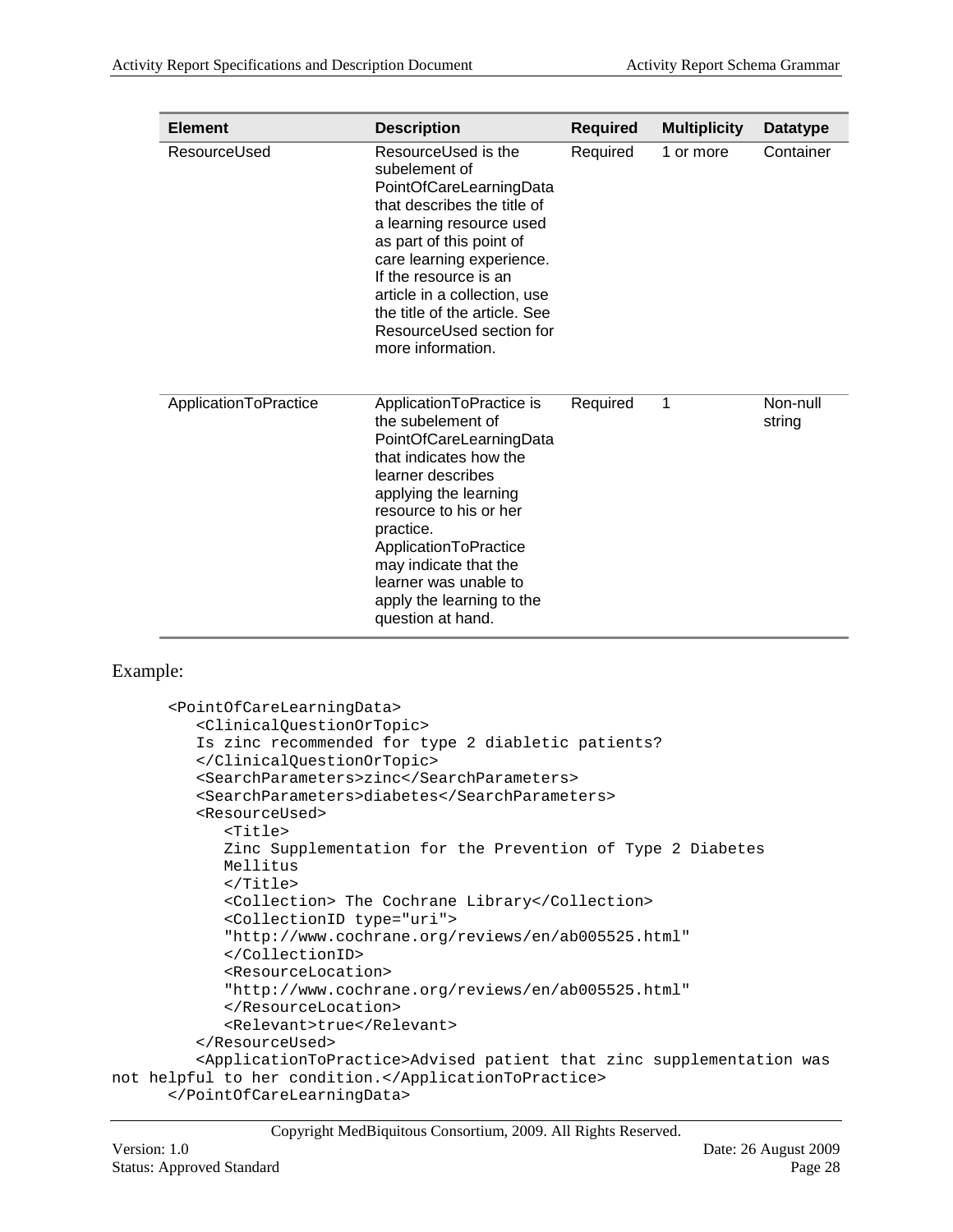| <b>Element</b>        | <b>Description</b>                                                                                                                                                                                                                                                                                                             | <b>Required</b> | <b>Multiplicity</b> | Datatype           |
|-----------------------|--------------------------------------------------------------------------------------------------------------------------------------------------------------------------------------------------------------------------------------------------------------------------------------------------------------------------------|-----------------|---------------------|--------------------|
| ResourceUsed          | ResourceUsed is the<br>subelement of<br>PointOfCareLearningData<br>that describes the title of<br>a learning resource used<br>as part of this point of<br>care learning experience.<br>If the resource is an<br>article in a collection, use<br>the title of the article. See<br>ResourceUsed section for<br>more information. | Required        | 1 or more           | Container          |
| ApplicationToPractice | ApplicationToPractice is<br>the subelement of<br>PointOfCareLearningData<br>that indicates how the<br>learner describes<br>applying the learning<br>resource to his or her<br>practice.<br>ApplicationToPractice<br>may indicate that the<br>learner was unable to<br>apply the learning to the<br>question at hand.           | Required        | 1                   | Non-null<br>string |

#### Example:

```
<PointOfCareLearningData>
         <ClinicalQuestionOrTopic>
         Is zinc recommended for type 2 diabletic patients?
         </ClinicalQuestionOrTopic>
         <SearchParameters>zinc</SearchParameters>
         <SearchParameters>diabetes</SearchParameters>
         <ResourceUsed>
            <Title>
            Zinc Supplementation for the Prevention of Type 2 Diabetes
             Mellitus
            </Title>
            <Collection> The Cochrane Library</Collection>
            <CollectionID type="uri"> 
            "http://www.cochrane.org/reviews/en/ab005525.html"
            </CollectionID>
            <ResourceLocation>
            "http://www.cochrane.org/reviews/en/ab005525.html"
            </ResourceLocation>
            <Relevant>true</Relevant>
         </ResourceUsed>
         <ApplicationToPractice>Advised patient that zinc supplementation was 
not helpful to her condition.</ApplicationToPractice>
      </PointOfCareLearningData>
```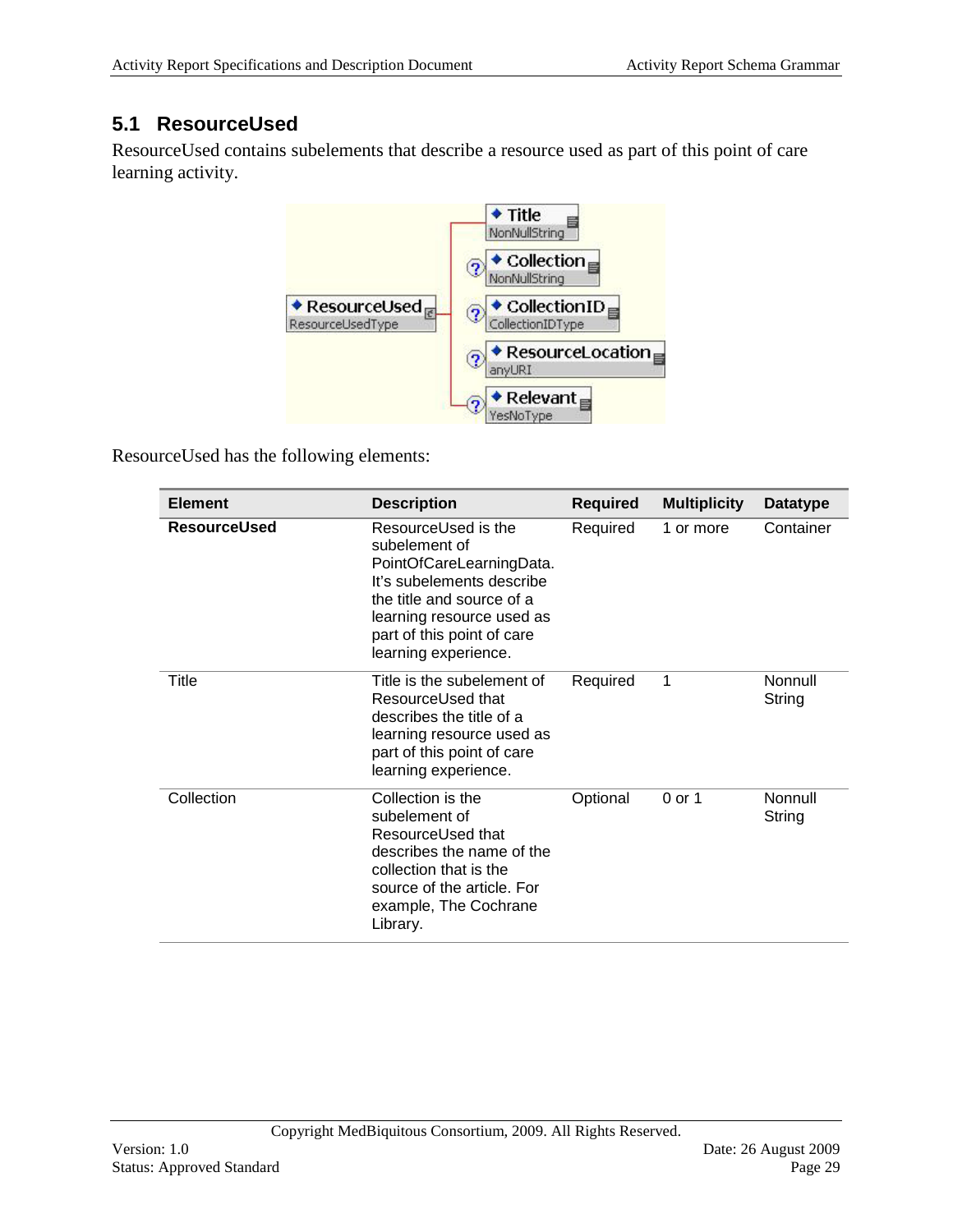### **5.1 ResourceUsed**

<span id="page-28-0"></span>ResourceUsed contains subelements that describe a resource used as part of this point of care learning activity.



ResourceUsed has the following elements:

| <b>Element</b>      | <b>Description</b>                                                                                                                                                                                            | <b>Required</b> | <b>Multiplicity</b> | <b>Datatype</b>   |
|---------------------|---------------------------------------------------------------------------------------------------------------------------------------------------------------------------------------------------------------|-----------------|---------------------|-------------------|
| <b>ResourceUsed</b> | ResourceUsed is the<br>subelement of<br>PointOfCareLearningData.<br>It's subelements describe<br>the title and source of a<br>learning resource used as<br>part of this point of care<br>learning experience. | Required        | 1 or more           | Container         |
| Title               | Title is the subelement of<br>ResourceUsed that<br>describes the title of a<br>learning resource used as<br>part of this point of care<br>learning experience.                                                | Required        | 1                   | Nonnull<br>String |
| Collection          | Collection is the<br>subelement of<br>ResourceUsed that<br>describes the name of the<br>collection that is the<br>source of the article. For<br>example, The Cochrane<br>Library.                             | Optional        | 0 or 1              | Nonnull<br>String |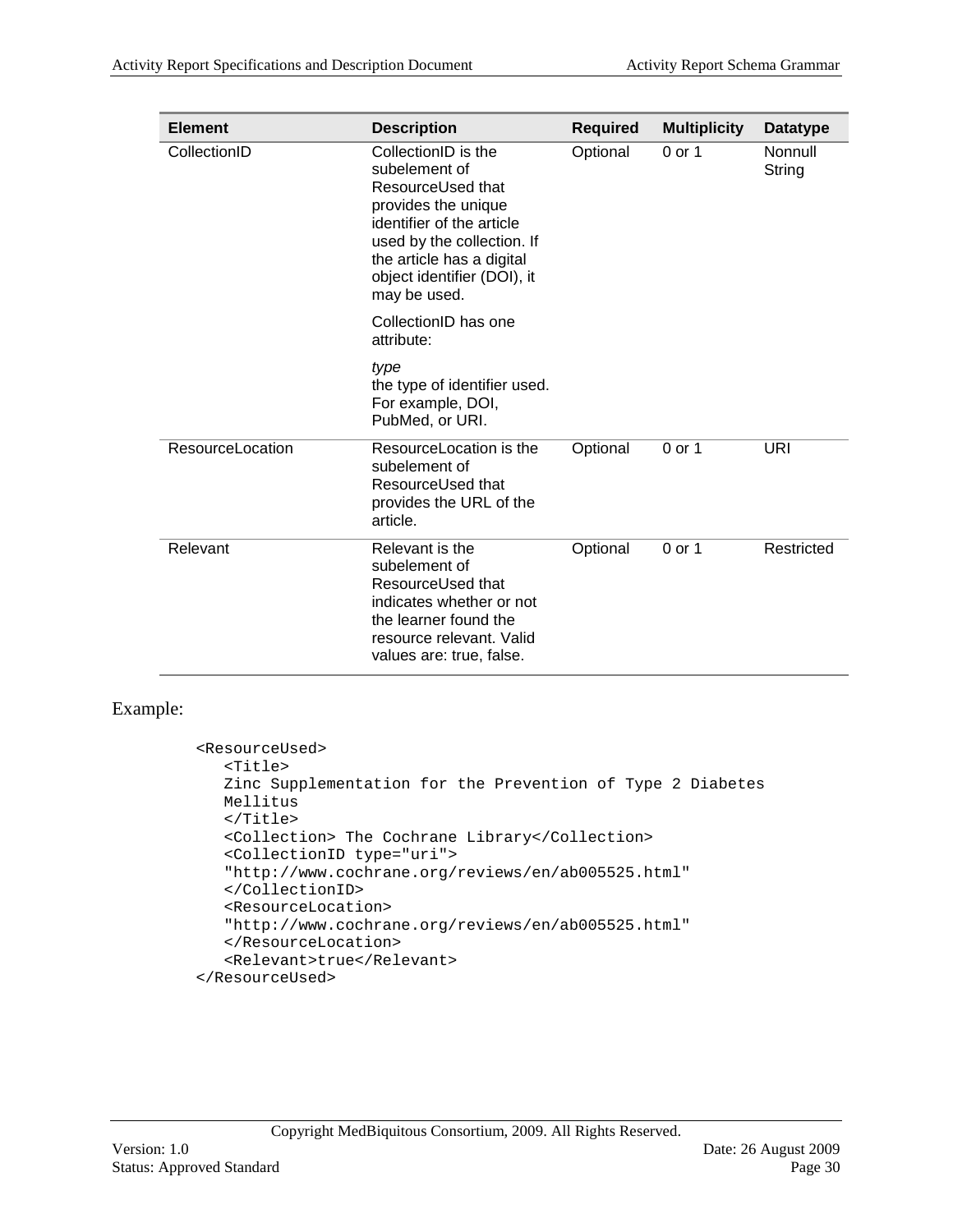| <b>Element</b>   | <b>Description</b>                                                                                                                                                                                                      | <b>Required</b> | <b>Multiplicity</b> | <b>Datatype</b>   |
|------------------|-------------------------------------------------------------------------------------------------------------------------------------------------------------------------------------------------------------------------|-----------------|---------------------|-------------------|
| CollectionID     | CollectionID is the<br>subelement of<br>ResourceUsed that<br>provides the unique<br>identifier of the article<br>used by the collection. If<br>the article has a digital<br>object identifier (DOI), it<br>may be used. | Optional        | 0 or 1              | Nonnull<br>String |
|                  | CollectionID has one<br>attribute:                                                                                                                                                                                      |                 |                     |                   |
|                  | type<br>the type of identifier used.<br>For example, DOI,<br>PubMed, or URI.                                                                                                                                            |                 |                     |                   |
| ResourceLocation | ResourceLocation is the<br>subelement of<br>ResourceUsed that<br>provides the URL of the<br>article.                                                                                                                    | Optional        | 0 or 1              | URI               |
| Relevant         | Relevant is the<br>subelement of<br>ResourceUsed that<br>indicates whether or not<br>the learner found the<br>resource relevant. Valid<br>values are: true, false.                                                      | Optional        | 0 or 1              | Restricted        |

#### Example:

```
<ResourceUsed>
  <Title>
  Zinc Supplementation for the Prevention of Type 2 Diabetes
   Mellitus
  </Title>
  <Collection> The Cochrane Library</Collection>
  <CollectionID type="uri"> 
  "http://www.cochrane.org/reviews/en/ab005525.html"
  </CollectionID>
  <ResourceLocation>
   "http://www.cochrane.org/reviews/en/ab005525.html"
  </ResourceLocation>
   <Relevant>true</Relevant>
```
</ResourceUsed>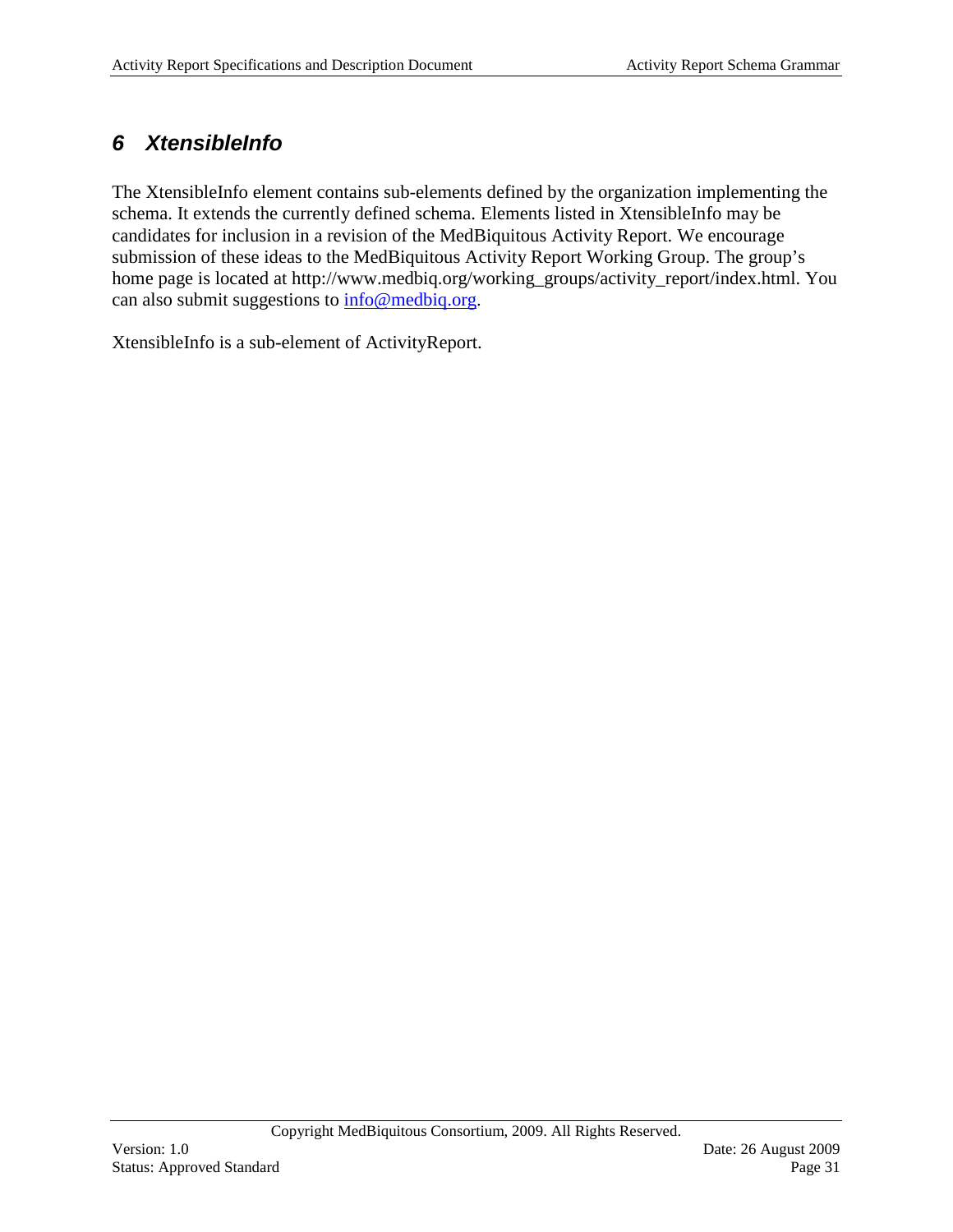### <span id="page-30-0"></span>*6 XtensibleInfo*

The XtensibleInfo element contains sub-elements defined by the organization implementing the schema. It extends the currently defined schema. Elements listed in XtensibleInfo may be candidates for inclusion in a revision of the MedBiquitous Activity Report. We encourage submission of these ideas to the MedBiquitous Activity Report Working Group. The group's home page is located at http://www.medbiq.org/working\_groups/activity\_report/index.html. You can also submit suggestions to [info@medbiq.org.](mailto:info@medbiq.org)

XtensibleInfo is a sub-element of ActivityReport.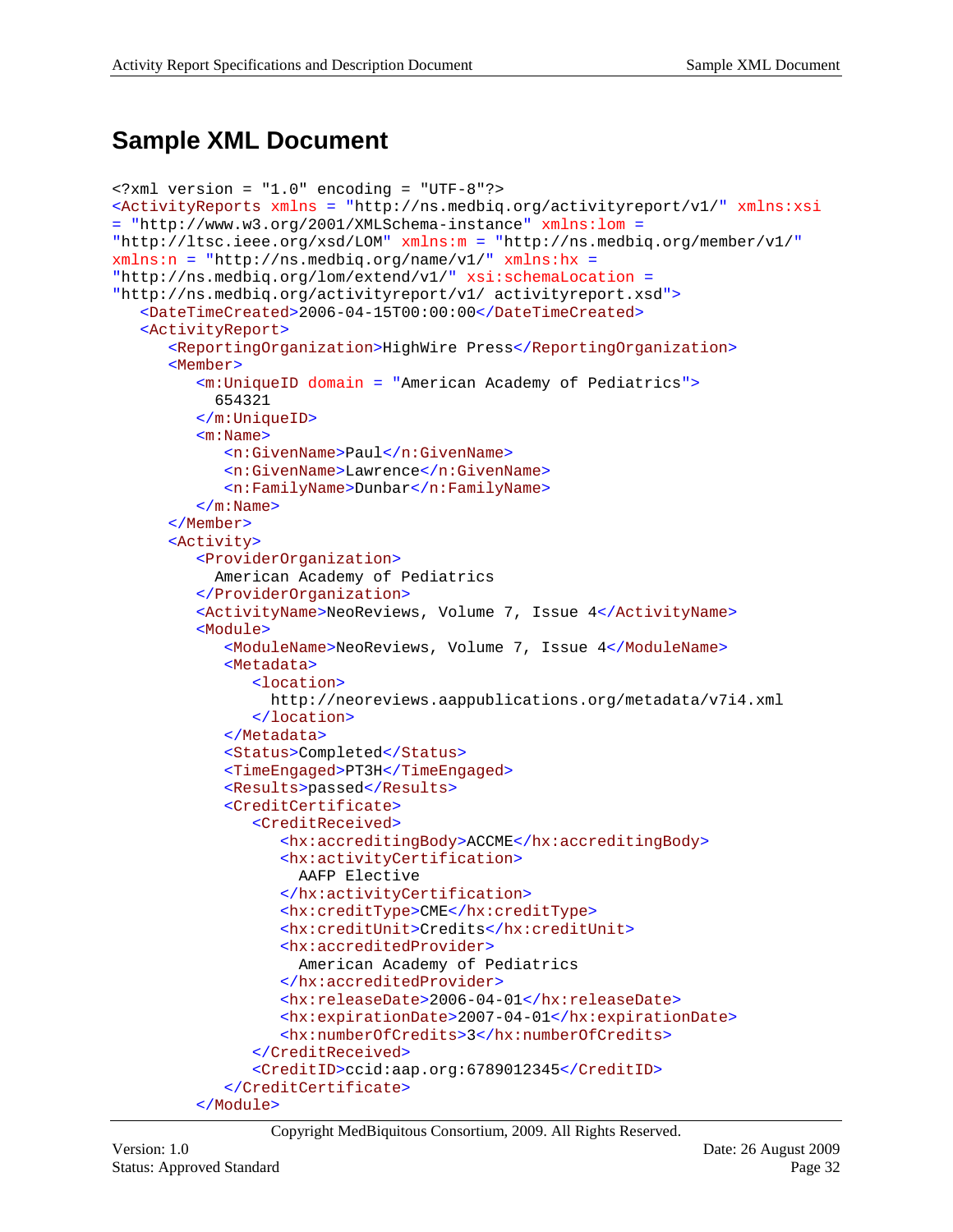## <span id="page-31-0"></span>**Sample XML Document**

```
<?xml version = "1.0" encoding = "UTF-8"?>
<ActivityReports xmlns = "http://ns.medbiq.org/activityreport/v1/" xmlns:xsi 
= "http://www.w3.org/2001/XMLSchema-instance" xmlns:lom = 
"http://ltsc.ieee.org/xsd/LOM" xmlns:m = "http://ns.medbiq.org/member/v1/"
xmlns:n = "http://ns.medbiq.org/name/v1/" xmlns:hx = 
"http://ns.medbiq.org/lom/extend/v1/" xsi:schemaLocation = 
"http://ns.medbiq.org/activityreport/v1/ activityreport.xsd">
   <DateTimeCreated>2006-04-15T00:00:00</DateTimeCreated>
   <ActivityReport>
      <ReportingOrganization>HighWire Press</ReportingOrganization>
      <Member>
         <m:UniqueID domain = "American Academy of Pediatrics">
            654321
         </m:UniqueID>
         <m:Name>
            <n:GivenName>Paul</n:GivenName>
            <n:GivenName>Lawrence</n:GivenName>
            <n:FamilyName>Dunbar</n:FamilyName>
         </m:Name>
      </Member>
      <Activity>
         <ProviderOrganization>
            American Academy of Pediatrics
         </ProviderOrganization>
         <ActivityName>NeoReviews, Volume 7, Issue 4</ActivityName>
         <Module>
            <ModuleName>NeoReviews, Volume 7, Issue 4</ModuleName>
            <Metadata>
               <location>
                  http://neoreviews.aappublications.org/metadata/v7i4.xml
               </location>
            </Metadata>
            <Status>Completed</Status>
            <TimeEngaged>PT3H</TimeEngaged>
            <Results>passed</Results>
            <CreditCertificate>
               <CreditReceived>
                  <hx:accreditingBody>ACCME</hx:accreditingBody>
                  <hx:activityCertification>
                     AAFP Elective
                  </hx:activityCertification>
                  <hx:creditType>CME</hx:creditType>
                  <hx:creditUnit>Credits</hx:creditUnit>
                  <hx:accreditedProvider>
                     American Academy of Pediatrics
                  </hx:accreditedProvider>
                  <hx:releaseDate>2006-04-01</hx:releaseDate>
                  <hx:expirationDate>2007-04-01</hx:expirationDate>
                  <hx:numberOfCredits>3</hx:numberOfCredits>
               </CreditReceived>
               <CreditID>ccid:aap.org:6789012345</CreditID>
            </CreditCertificate>
         </Module>
```

```
Copyright MedBiquitous Consortium, 2009. All Rights Reserved.
```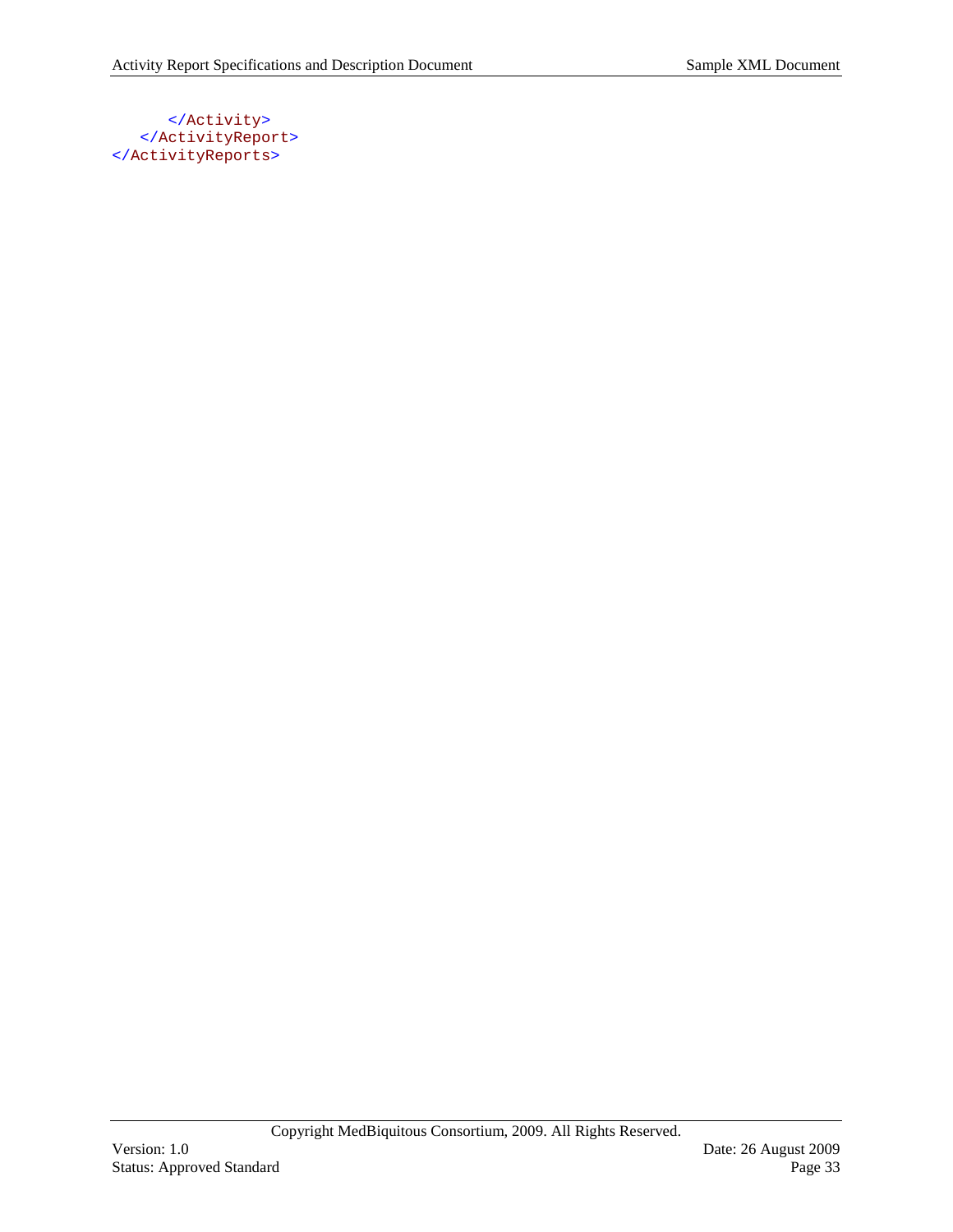#### </Activity> </ActivityReport> </ActivityReports>